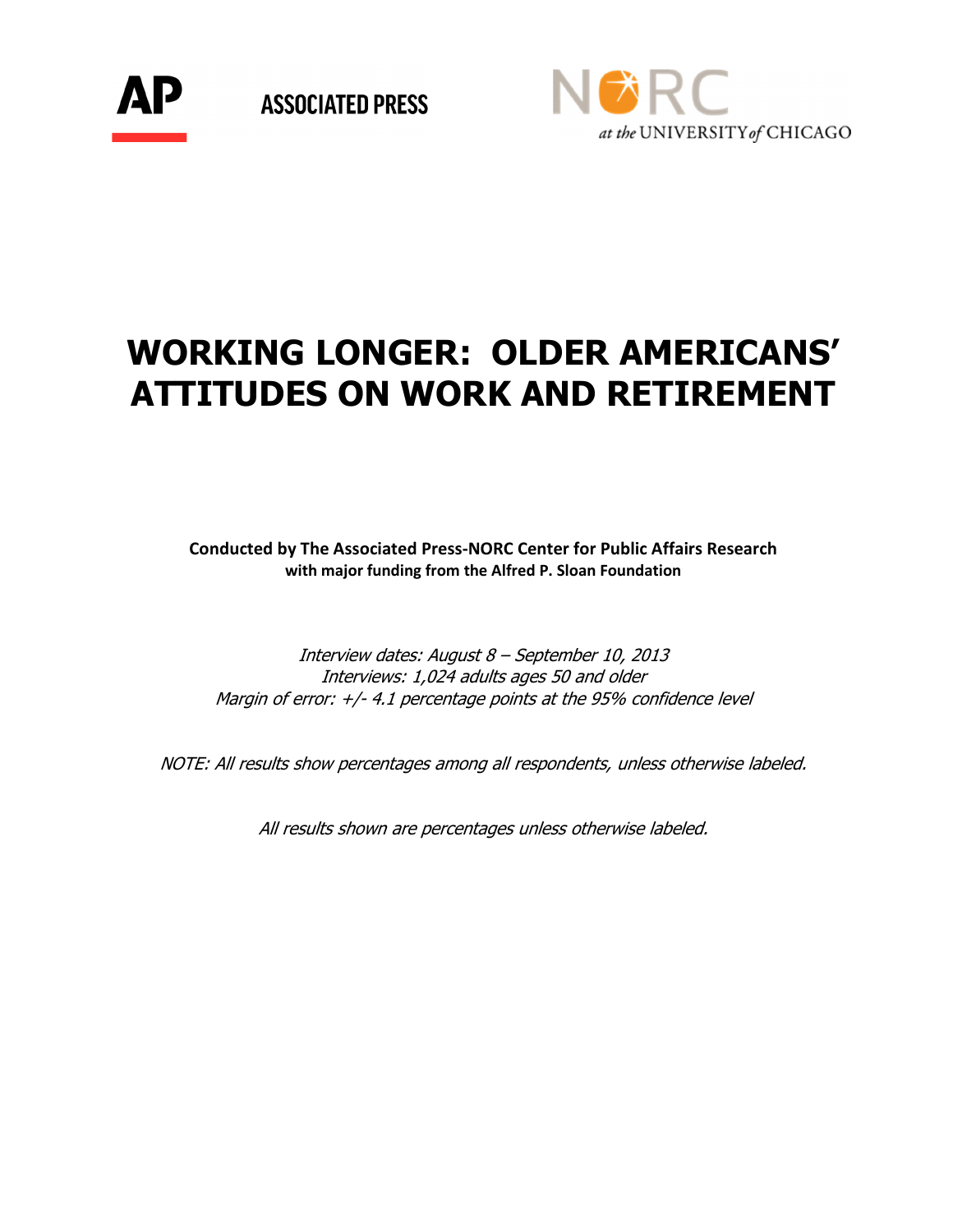

**ASSOCIATED PRESS** 



# WORKING LONGER: OLDER AMERICANS' ATTITUDES ON WORK AND RETIREMENT

Conducted by The Associated Press-NORC Center for Public Affairs Research with major funding from the Alfred P. Sloan Foundation

Interview dates: August 8 – September 10, 2013 Interviews: 1,024 adults ages 50 and older Margin of error:  $+/$ -4.1 percentage points at the 95% confidence level

NOTE: All results show percentages among all respondents, unless otherwise labeled.

All results shown are percentages unless otherwise labeled.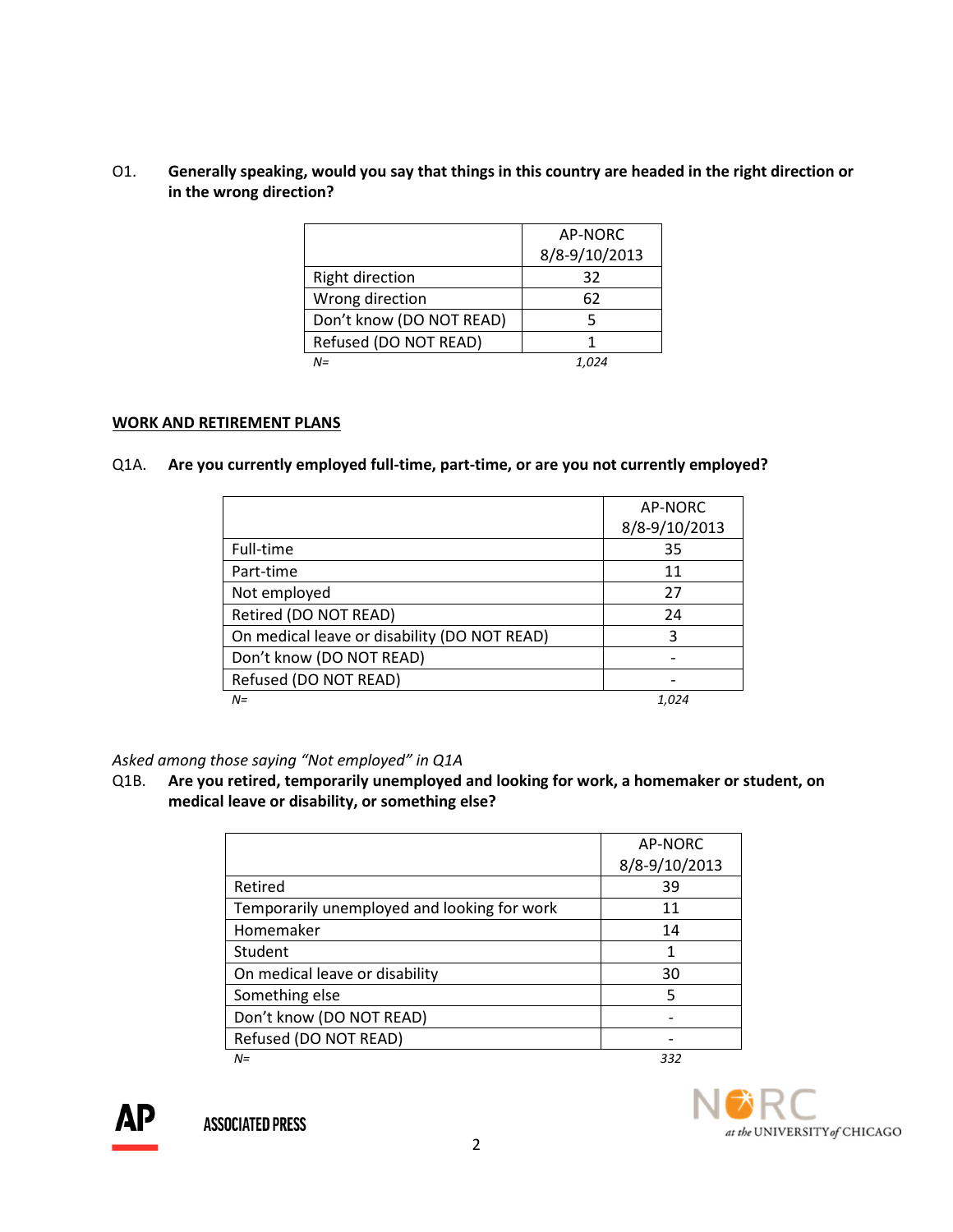# O1. Generally speaking, would you say that things in this country are headed in the right direction or in the wrong direction?

|                          | AP-NORC       |
|--------------------------|---------------|
|                          | 8/8-9/10/2013 |
| <b>Right direction</b>   | 32            |
| Wrong direction          | 62            |
| Don't know (DO NOT READ) | 5             |
| Refused (DO NOT READ)    |               |
| $N =$                    |               |

#### WORK AND RETIREMENT PLANS

#### Q1A. Are you currently employed full-time, part-time, or are you not currently employed?

|                                              | AP-NORC       |
|----------------------------------------------|---------------|
|                                              | 8/8-9/10/2013 |
| Full-time                                    | 35            |
| Part-time                                    | 11            |
| Not employed                                 | 27            |
| Retired (DO NOT READ)                        | 24            |
| On medical leave or disability (DO NOT READ) | ς             |
| Don't know (DO NOT READ)                     |               |
| Refused (DO NOT READ)                        |               |
| $N =$                                        | 1.024         |

Asked among those saying "Not employed" in Q1A

Q1B. Are you retired, temporarily unemployed and looking for work, a homemaker or student, on medical leave or disability, or something else?

|                                             | AP-NORC       |
|---------------------------------------------|---------------|
|                                             | 8/8-9/10/2013 |
| Retired                                     | 39            |
| Temporarily unemployed and looking for work | 11            |
| Homemaker                                   | 14            |
| Student                                     |               |
| On medical leave or disability              | 30            |
| Something else                              | 5             |
| Don't know (DO NOT READ)                    |               |
| Refused (DO NOT READ)                       |               |
| $N =$                                       | 332           |



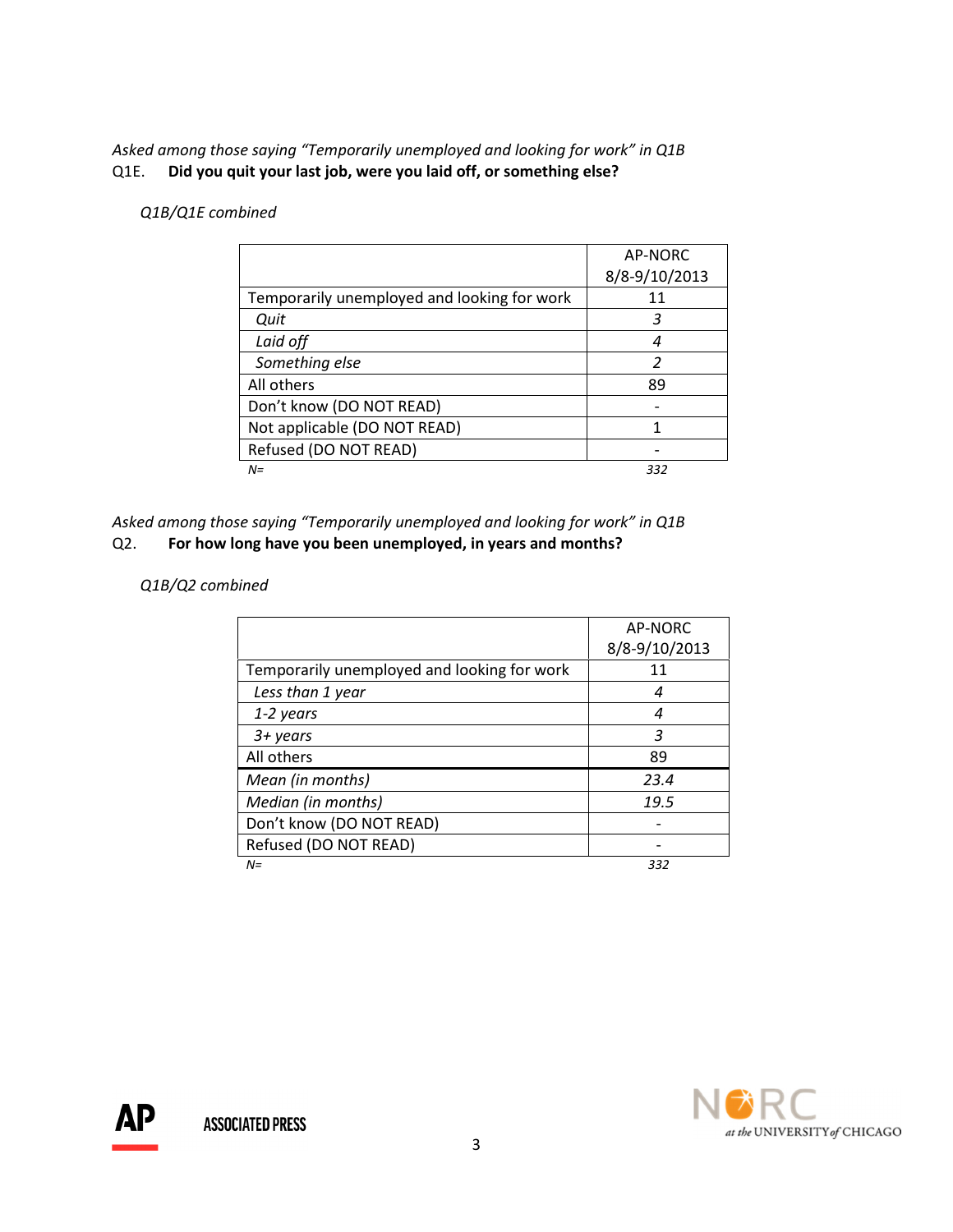# Asked among those saying "Temporarily unemployed and looking for work" in Q1B Q1E. Did you quit your last job, were you laid off, or something else?

# Q1B/Q1E combined

|                                             | AP-NORC       |
|---------------------------------------------|---------------|
|                                             | 8/8-9/10/2013 |
| Temporarily unemployed and looking for work | 11            |
| Quit                                        | 3             |
| Laid off                                    | 4             |
| Something else                              | 2             |
| All others                                  | 89            |
| Don't know (DO NOT READ)                    |               |
| Not applicable (DO NOT READ)                |               |
| Refused (DO NOT READ)                       |               |
| $N =$                                       | 332           |

Asked among those saying "Temporarily unemployed and looking for work" in Q1B Q2. For how long have you been unemployed, in years and months?

# Q1B/Q2 combined

|                                             | AP-NORC       |
|---------------------------------------------|---------------|
|                                             | 8/8-9/10/2013 |
| Temporarily unemployed and looking for work | 11            |
| Less than 1 year                            | 4             |
| 1-2 years                                   | 4             |
| $3 + years$                                 | 3             |
| All others                                  | 89            |
| Mean (in months)                            | 23.4          |
| Median (in months)                          | 19.5          |
| Don't know (DO NOT READ)                    |               |
| Refused (DO NOT READ)                       |               |
| $N =$                                       | 332           |

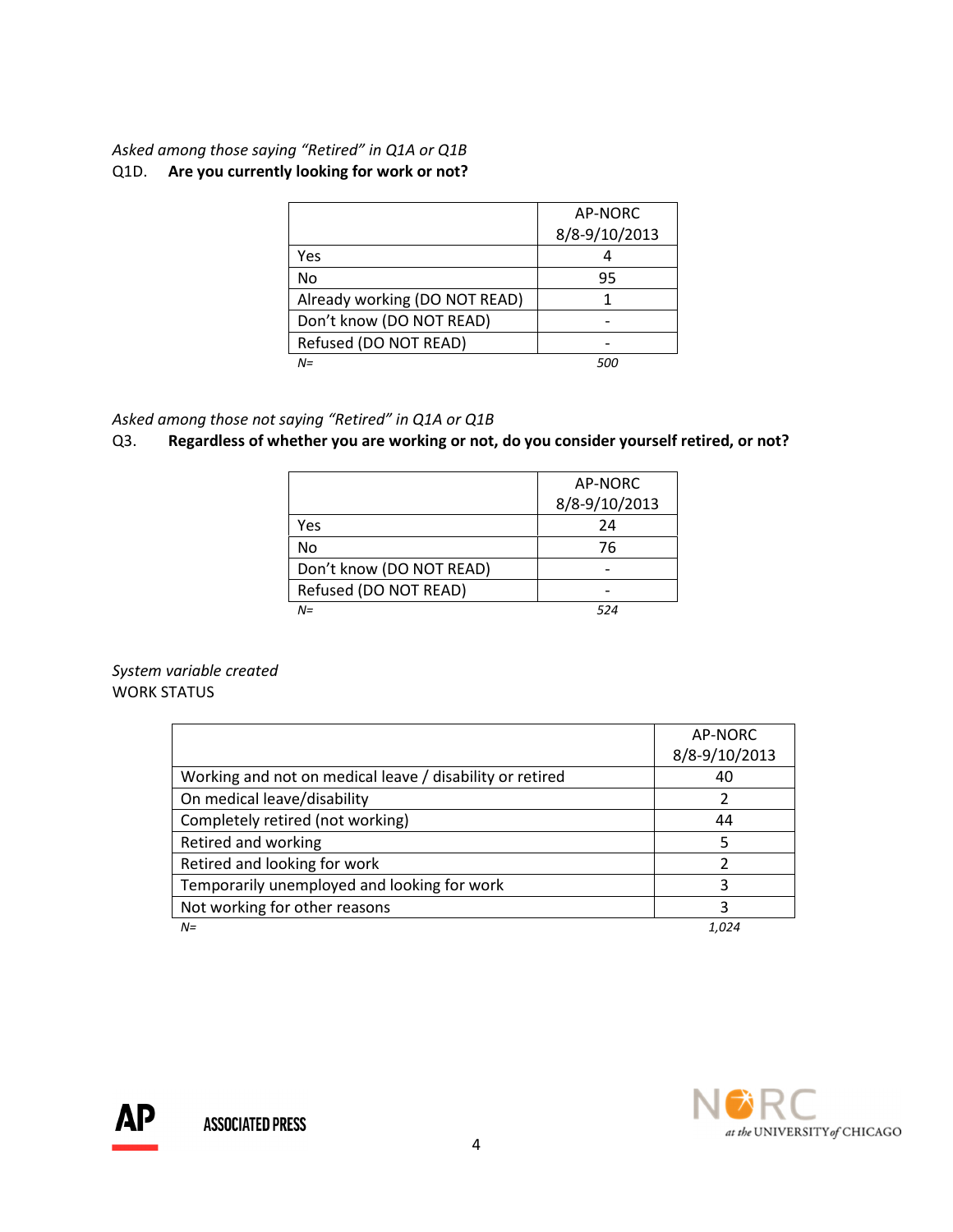# Asked among those saying "Retired" in Q1A or Q1B Q1D. Are you currently looking for work or not?

|                               | AP-NORC       |
|-------------------------------|---------------|
|                               | 8/8-9/10/2013 |
| Yes                           |               |
| No                            | 95            |
| Already working (DO NOT READ) |               |
| Don't know (DO NOT READ)      |               |
| Refused (DO NOT READ)         |               |
| $N =$                         | 500           |

# Asked among those not saying "Retired" in Q1A or Q1B

# Q3. Regardless of whether you are working or not, do you consider yourself retired, or not?

|                          | AP-NORC       |
|--------------------------|---------------|
|                          | 8/8-9/10/2013 |
| Yes                      | 24            |
| No                       | 76            |
| Don't know (DO NOT READ) |               |
| Refused (DO NOT READ)    |               |
| $N =$                    | 524           |

System variable created WORK STATUS

|                                                          | AP-NORC       |
|----------------------------------------------------------|---------------|
|                                                          | 8/8-9/10/2013 |
| Working and not on medical leave / disability or retired | 40            |
| On medical leave/disability                              | 2             |
| Completely retired (not working)                         | 44            |
| Retired and working                                      | 5             |
| Retired and looking for work                             |               |
| Temporarily unemployed and looking for work              | 3             |
| Not working for other reasons                            | 3             |
| $N =$                                                    | 1.024         |

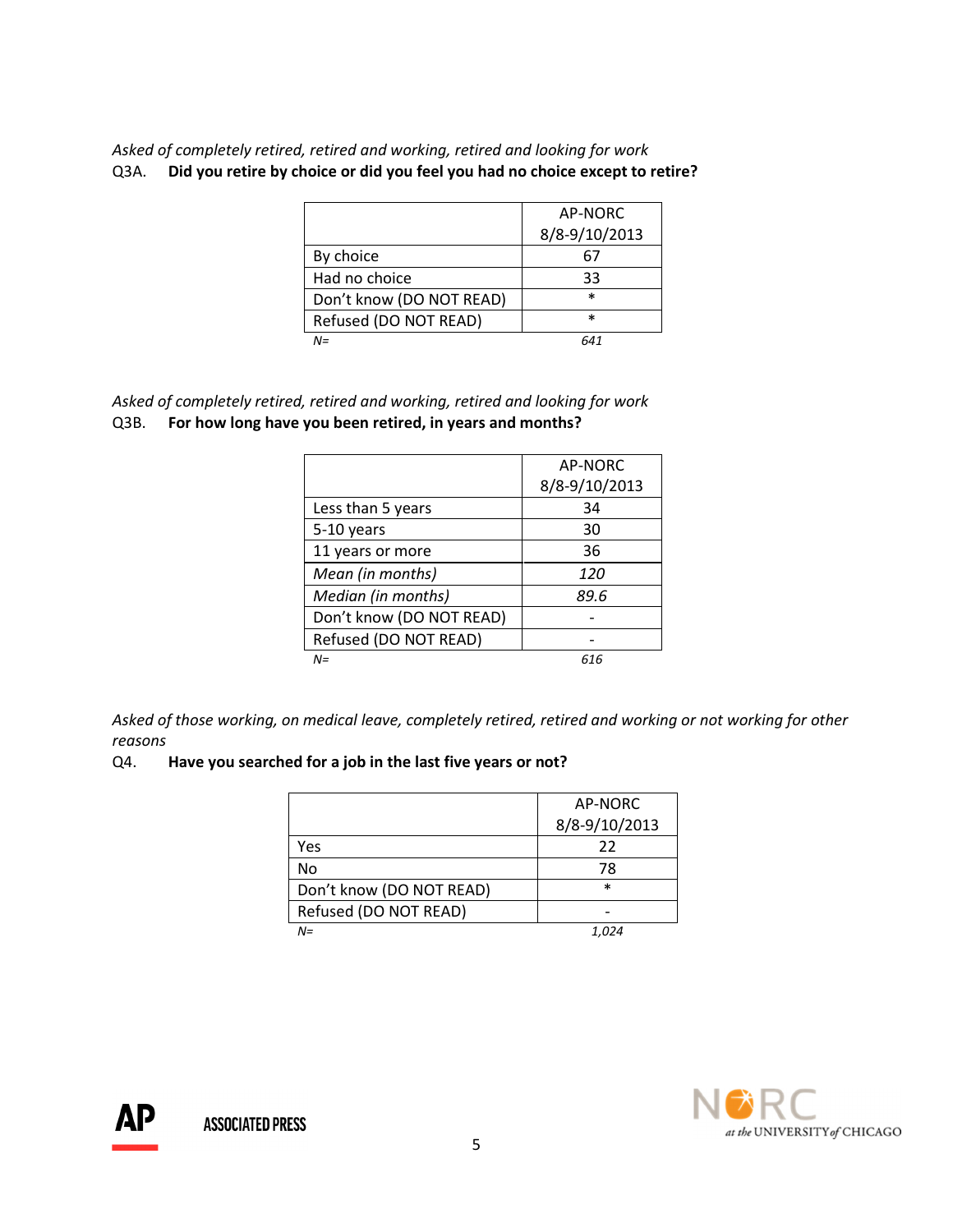Asked of completely retired, retired and working, retired and looking for work Q3A. Did you retire by choice or did you feel you had no choice except to retire?

|                          | AP-NORC       |
|--------------------------|---------------|
|                          | 8/8-9/10/2013 |
| By choice                | 67            |
| Had no choice            | 33            |
| Don't know (DO NOT READ) | $\ast$        |
| Refused (DO NOT READ)    | $\ast$        |
| $N =$                    |               |

Asked of completely retired, retired and working, retired and looking for work Q3B. For how long have you been retired, in years and months?

|                          | AP-NORC       |
|--------------------------|---------------|
|                          | 8/8-9/10/2013 |
| Less than 5 years        | 34            |
| 5-10 years               | 30            |
| 11 years or more         | 36            |
| Mean (in months)         | 120           |
| Median (in months)       | 89.6          |
| Don't know (DO NOT READ) |               |
| Refused (DO NOT READ)    |               |
| $N =$                    | 616           |

Asked of those working, on medical leave, completely retired, retired and working or not working for other reasons

#### Q4. Have you searched for a job in the last five years or not?

|                          | AP-NORC       |
|--------------------------|---------------|
|                          | 8/8-9/10/2013 |
| Yes                      | 22            |
| No                       | 78            |
| Don't know (DO NOT READ) | $\ast$        |
| Refused (DO NOT READ)    |               |
| $N =$                    | 1.024         |



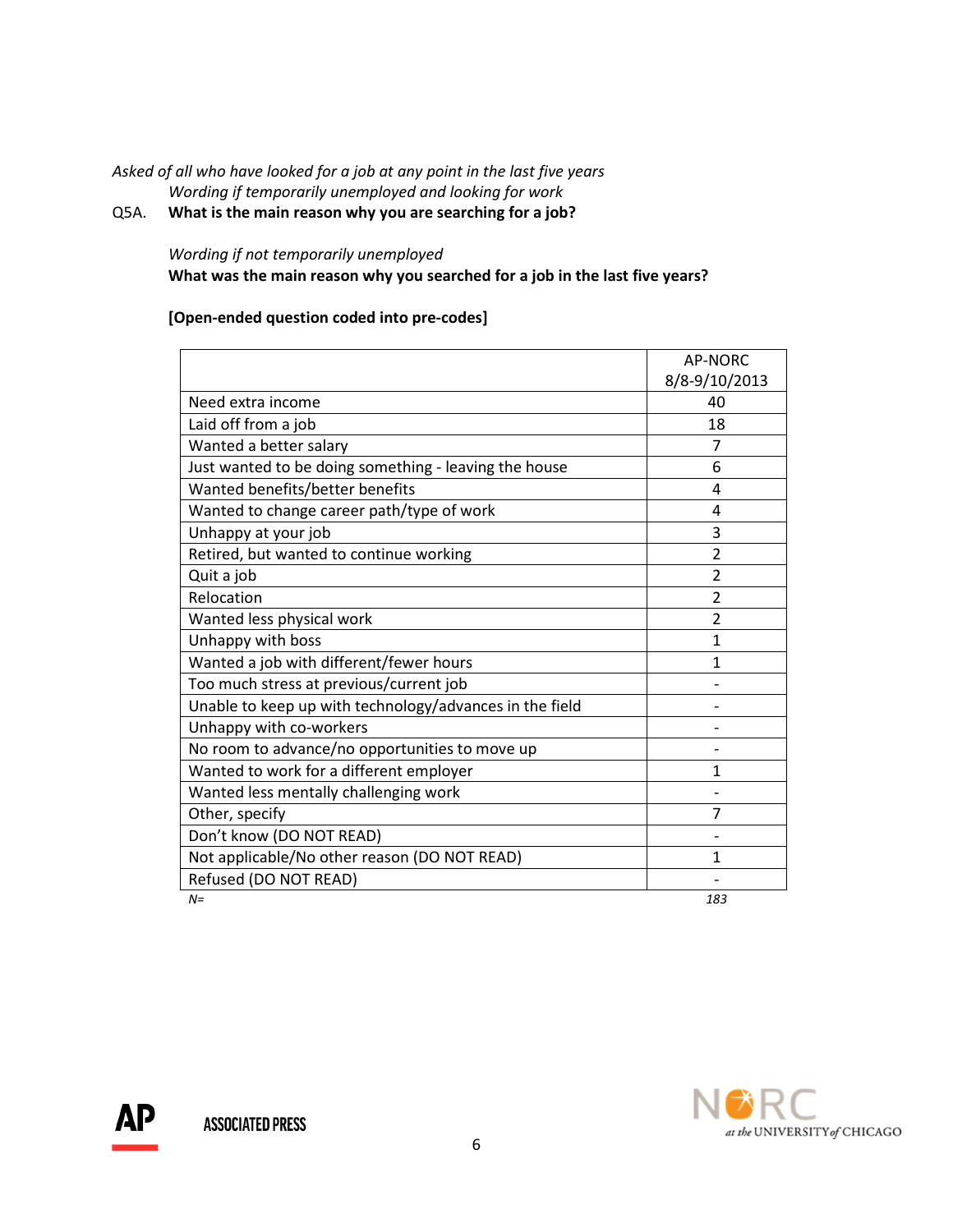## Asked of all who have looked for a job at any point in the last five years Wording if temporarily unemployed and looking for work

# Q5A. What is the main reason why you are searching for a job?

#### Wording if not temporarily unemployed

What was the main reason why you searched for a job in the last five years?

# [Open-ended question coded into pre-codes]

|                                                         | AP-NORC        |
|---------------------------------------------------------|----------------|
|                                                         | 8/8-9/10/2013  |
| Need extra income                                       | 40             |
| Laid off from a job                                     | 18             |
| Wanted a better salary                                  | 7              |
| Just wanted to be doing something - leaving the house   | 6              |
| Wanted benefits/better benefits                         | 4              |
| Wanted to change career path/type of work               | 4              |
| Unhappy at your job                                     | 3              |
| Retired, but wanted to continue working                 | $\overline{2}$ |
| Quit a job                                              | 2              |
| Relocation                                              | 2              |
| Wanted less physical work                               | 2              |
| Unhappy with boss                                       | 1              |
| Wanted a job with different/fewer hours                 | 1              |
| Too much stress at previous/current job                 |                |
| Unable to keep up with technology/advances in the field |                |
| Unhappy with co-workers                                 |                |
| No room to advance/no opportunities to move up          |                |
| Wanted to work for a different employer                 | 1              |
| Wanted less mentally challenging work                   |                |
| Other, specify                                          | 7              |
| Don't know (DO NOT READ)                                |                |
| Not applicable/No other reason (DO NOT READ)            | 1              |
| Refused (DO NOT READ)                                   |                |
| $N=$                                                    | 183            |

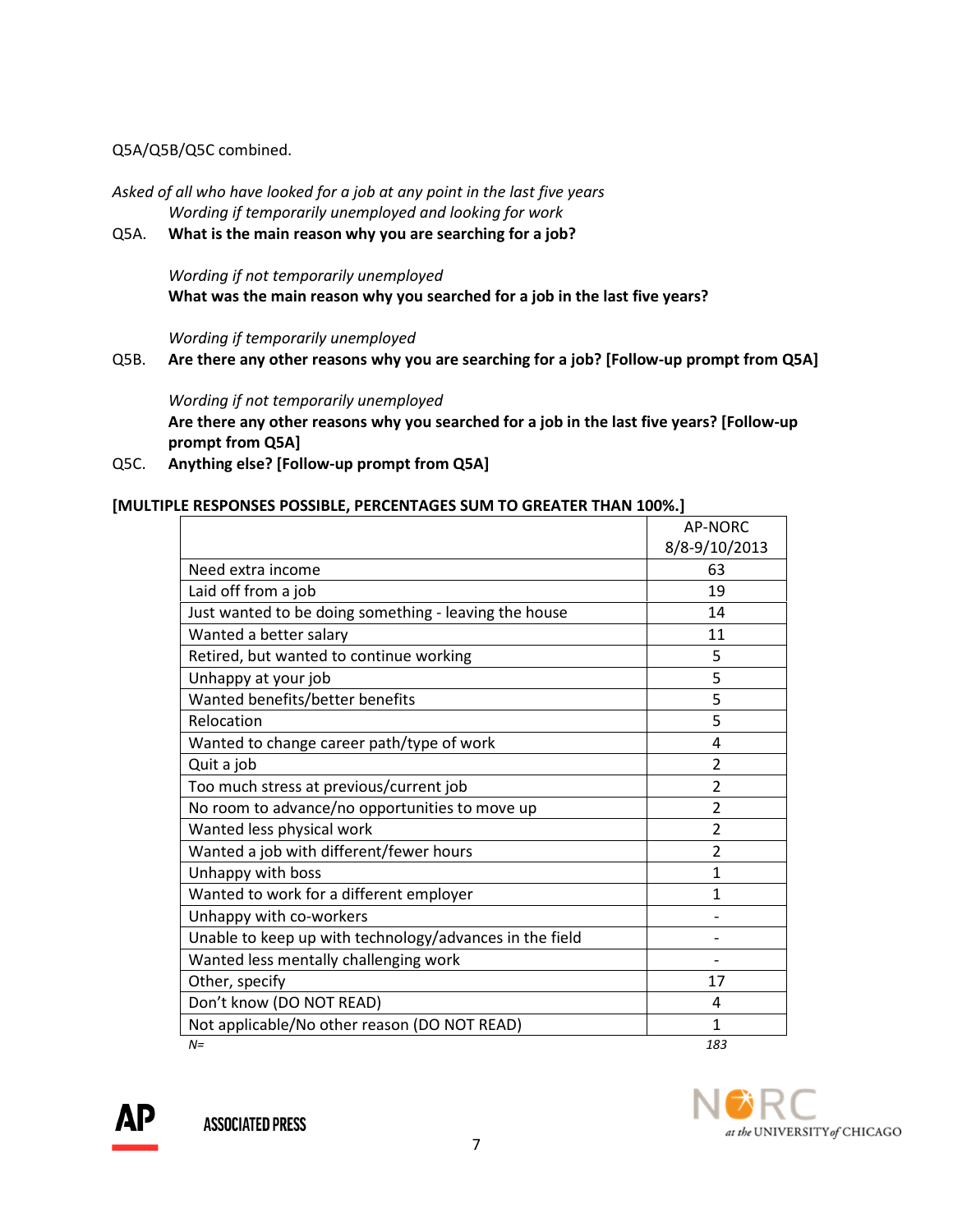# Q5A/Q5B/Q5C combined.

Asked of all who have looked for a job at any point in the last five years Wording if temporarily unemployed and looking for work

Q5A. What is the main reason why you are searching for a job?

Wording if not temporarily unemployed What was the main reason why you searched for a job in the last five years?

Wording if temporarily unemployed

Q5B. Are there any other reasons why you are searching for a job? [Follow-up prompt from Q5A]

Wording if not temporarily unemployed Are there any other reasons why you searched for a job in the last five years? [Follow-up prompt from Q5A]

Q5C. Anything else? [Follow-up prompt from Q5A]

## [MULTIPLE RESPONSES POSSIBLE, PERCENTAGES SUM TO GREATER THAN 100%.]

|                                                         | AP-NORC        |
|---------------------------------------------------------|----------------|
|                                                         | 8/8-9/10/2013  |
| Need extra income                                       | 63             |
| Laid off from a job                                     | 19             |
| Just wanted to be doing something - leaving the house   | 14             |
| Wanted a better salary                                  | 11             |
| Retired, but wanted to continue working                 | 5              |
| Unhappy at your job                                     | 5              |
| Wanted benefits/better benefits                         | 5              |
| Relocation                                              | 5              |
| Wanted to change career path/type of work               | 4              |
| Quit a job                                              | $\overline{2}$ |
| Too much stress at previous/current job                 | $\overline{2}$ |
| No room to advance/no opportunities to move up          | $\overline{2}$ |
| Wanted less physical work                               | $\overline{2}$ |
| Wanted a job with different/fewer hours                 | $\overline{2}$ |
| Unhappy with boss                                       | $\mathbf{1}$   |
| Wanted to work for a different employer                 | 1              |
| Unhappy with co-workers                                 |                |
| Unable to keep up with technology/advances in the field |                |
| Wanted less mentally challenging work                   |                |
| Other, specify                                          | 17             |
| Don't know (DO NOT READ)                                | 4              |
| Not applicable/No other reason (DO NOT READ)            | 1              |
| $N=$                                                    | 183            |

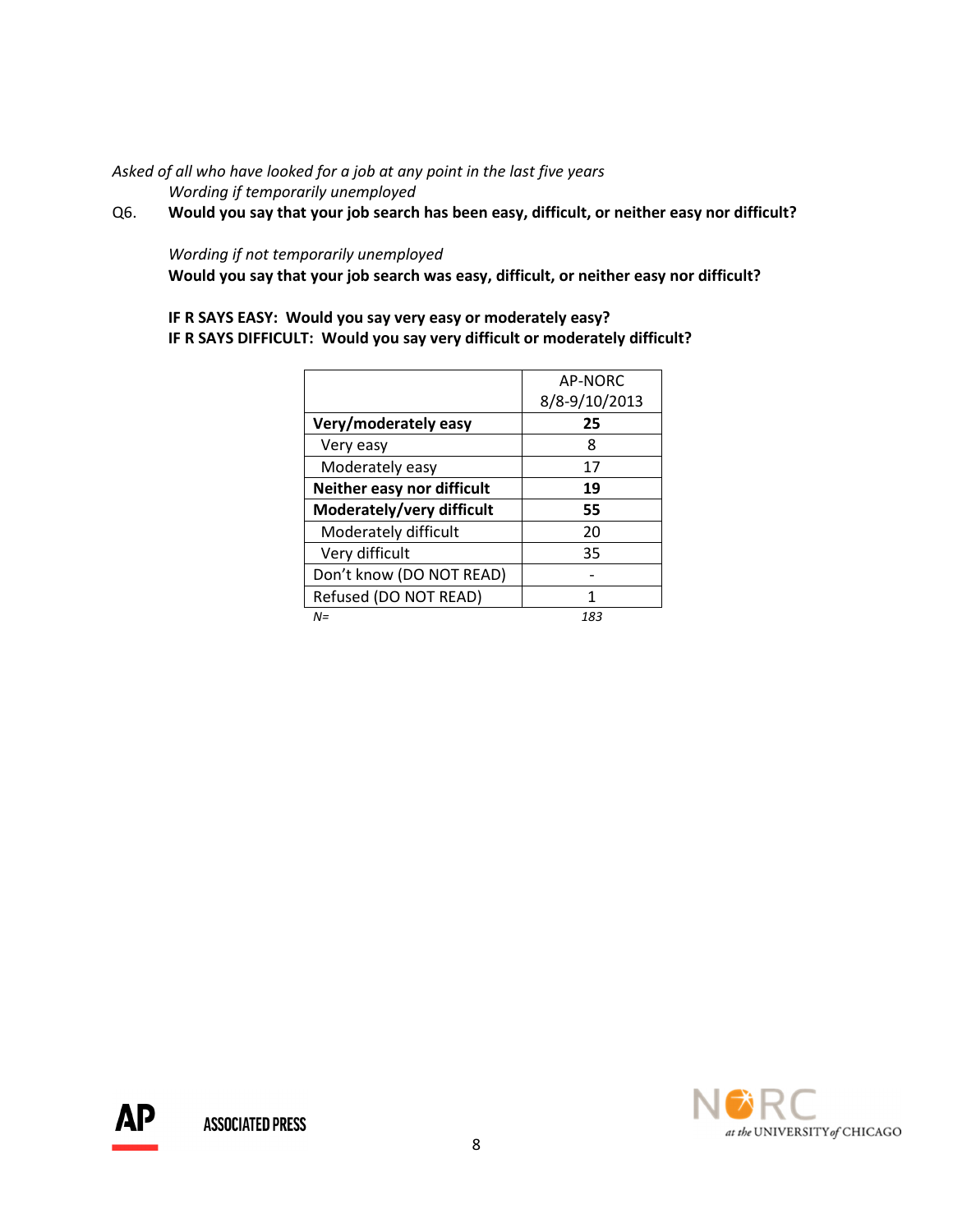#### Asked of all who have looked for a job at any point in the last five years Wording if temporarily unemployed

Q6. Would you say that your job search has been easy, difficult, or neither easy nor difficult?

# Wording if not temporarily unemployed

Would you say that your job search was easy, difficult, or neither easy nor difficult?

# IF R SAYS EASY: Would you say very easy or moderately easy? IF R SAYS DIFFICULT: Would you say very difficult or moderately difficult?

|                            | AP-NORC       |
|----------------------------|---------------|
|                            | 8/8-9/10/2013 |
| Very/moderately easy       | 25            |
| Very easy                  | 8             |
| Moderately easy            | 17            |
| Neither easy nor difficult | 19            |
| Moderately/very difficult  | 55            |
| Moderately difficult       | 20            |
| Very difficult             | 35            |
| Don't know (DO NOT READ)   |               |
| Refused (DO NOT READ)      | 1             |
| $N =$                      | 183           |



АP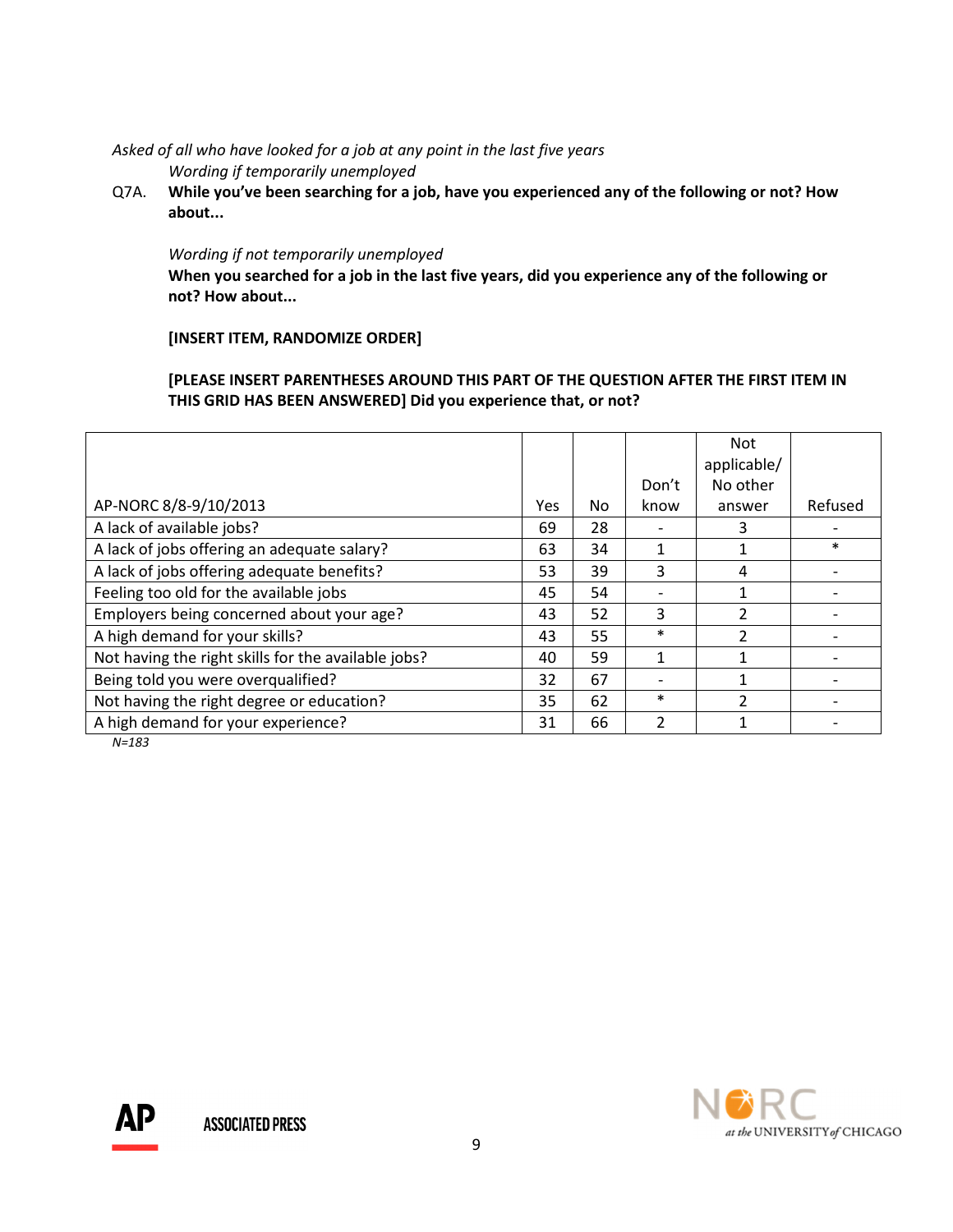Asked of all who have looked for a job at any point in the last five years Wording if temporarily unemployed

Q7A. While you've been searching for a job, have you experienced any of the following or not? How about...

#### Wording if not temporarily unemployed

 When you searched for a job in the last five years, did you experience any of the following or not? How about...

# [INSERT ITEM, RANDOMIZE ORDER]

[PLEASE INSERT PARENTHESES AROUND THIS PART OF THE QUESTION AFTER THE FIRST ITEM IN THIS GRID HAS BEEN ANSWERED] Did you experience that, or not?

|                                                     |     |     |        | <b>Not</b>    |         |
|-----------------------------------------------------|-----|-----|--------|---------------|---------|
|                                                     |     |     |        | applicable/   |         |
|                                                     |     |     | Don't  | No other      |         |
| AP-NORC 8/8-9/10/2013                               | Yes | No. | know   | answer        | Refused |
| A lack of available jobs?                           | 69  | 28  |        | З             |         |
| A lack of jobs offering an adequate salary?         | 63  | 34  |        |               | $\ast$  |
| A lack of jobs offering adequate benefits?          | 53  | 39  | 3      | 4             |         |
| Feeling too old for the available jobs              | 45  | 54  |        |               |         |
| Employers being concerned about your age?           | 43  | 52  | 3      | $\mathcal{P}$ |         |
| A high demand for your skills?                      | 43  | 55  | $\ast$ | $\mathcal{P}$ |         |
| Not having the right skills for the available jobs? | 40  | 59  | 1      |               |         |
| Being told you were overqualified?                  | 32  | 67  |        | 1             |         |
| Not having the right degree or education?           | 35  | 62  | $\ast$ | $\mathcal{P}$ |         |
| A high demand for your experience?                  | 31  | 66  | 2      |               |         |

N=183

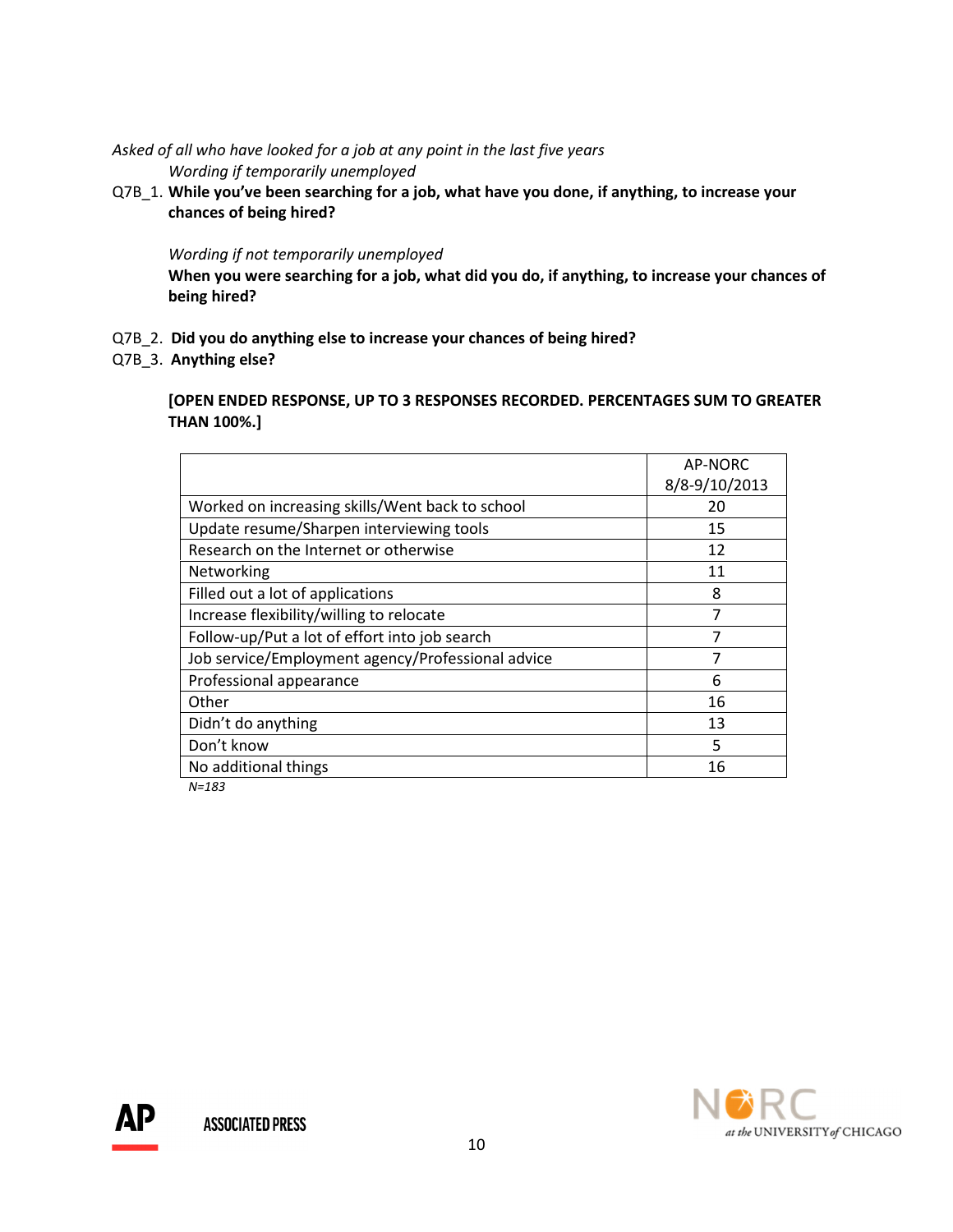Asked of all who have looked for a job at any point in the last five years Wording if temporarily unemployed

Q7B 1. While you've been searching for a job, what have you done, if anything, to increase your chances of being hired?

#### Wording if not temporarily unemployed

 When you were searching for a job, what did you do, if anything, to increase your chances of being hired?

- Q7B\_2. Did you do anything else to increase your chances of being hired?
- Q7B\_3. Anything else?

 [OPEN ENDED RESPONSE, UP TO 3 RESPONSES RECORDED. PERCENTAGES SUM TO GREATER THAN 100%.]

|                                                   | <b>AP-NORC</b> |
|---------------------------------------------------|----------------|
|                                                   |                |
|                                                   | 8/8-9/10/2013  |
| Worked on increasing skills/Went back to school   | 20             |
| Update resume/Sharpen interviewing tools          | 15             |
| Research on the Internet or otherwise             | 12             |
| Networking                                        | 11             |
| Filled out a lot of applications                  | 8              |
| Increase flexibility/willing to relocate          | $\overline{7}$ |
| Follow-up/Put a lot of effort into job search     | 7              |
| Job service/Employment agency/Professional advice | 7              |
| Professional appearance                           | 6              |
| Other                                             | 16             |
| Didn't do anything                                | 13             |
| Don't know                                        | 5              |
| No additional things                              | 16             |
|                                                   |                |

N=183

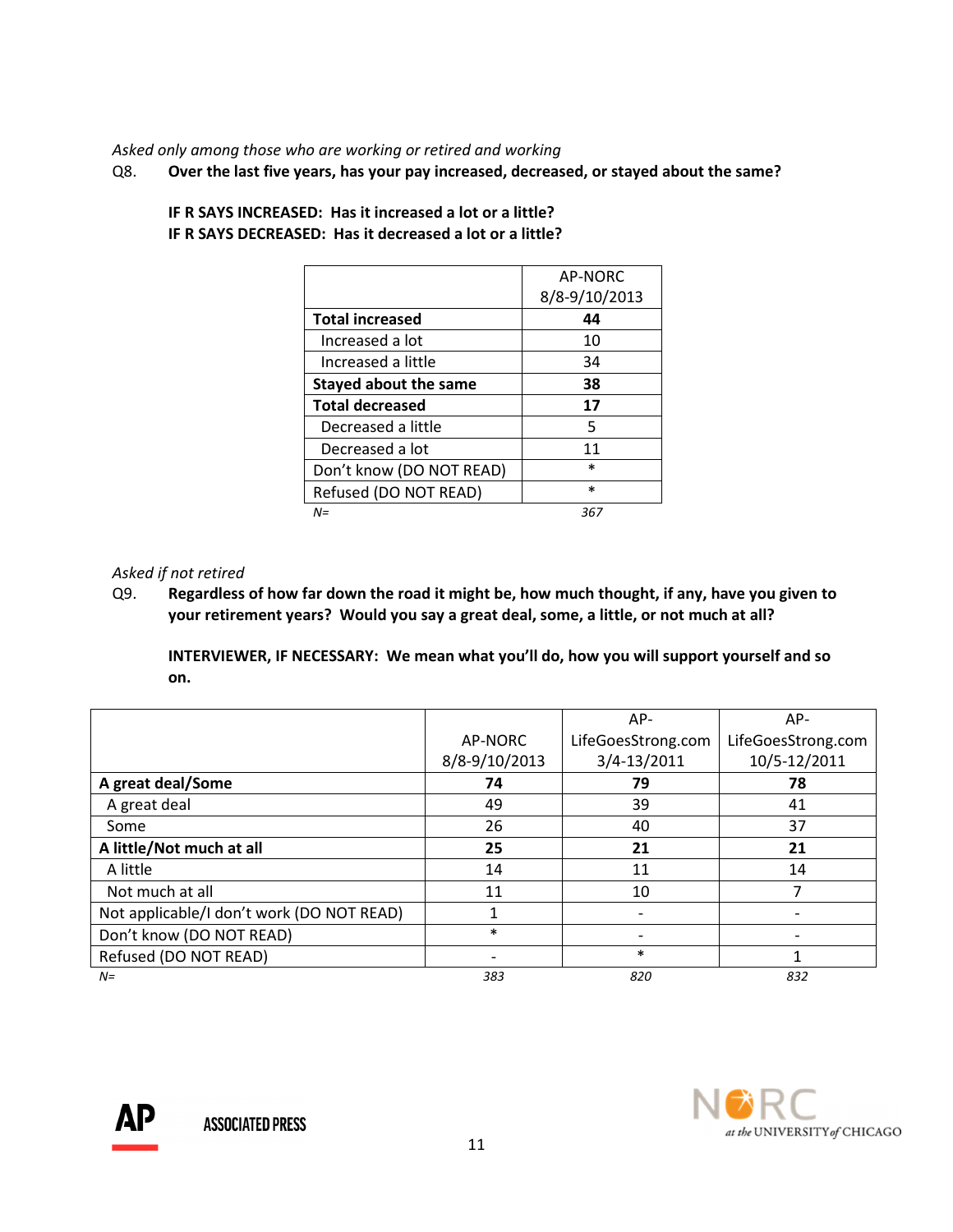Asked only among those who are working or retired and working

Q8. Over the last five years, has your pay increased, decreased, or stayed about the same?

|                              | AP-NORC       |
|------------------------------|---------------|
|                              | 8/8-9/10/2013 |
| <b>Total increased</b>       | 44            |
| Increased a lot              | 10            |
| Increased a little           | 34            |
| <b>Stayed about the same</b> | 38            |
| <b>Total decreased</b>       | 17            |
| Decreased a little           | 5             |
| Decreased a lot              | 11            |
| Don't know (DO NOT READ)     | $\ast$        |
| Refused (DO NOT READ)        | $\ast$        |
| $N =$                        | 367           |

 IF R SAYS INCREASED: Has it increased a lot or a little? IF R SAYS DECREASED: Has it decreased a lot or a little?

# Asked if not retired

Q9. Regardless of how far down the road it might be, how much thought, if any, have you given to your retirement years? Would you say a great deal, some, a little, or not much at all?

INTERVIEWER, IF NECESSARY: We mean what you'll do, how you will support yourself and so on.

|                                           |               | $AP-$              | $AP-$              |
|-------------------------------------------|---------------|--------------------|--------------------|
|                                           | AP-NORC       | LifeGoesStrong.com | LifeGoesStrong.com |
|                                           | 8/8-9/10/2013 | 3/4-13/2011        | 10/5-12/2011       |
| A great deal/Some                         | 74            | 79                 | 78                 |
| A great deal                              | 49            | 39                 | 41                 |
| Some                                      | 26            | 40                 | 37                 |
| A little/Not much at all                  | 25            | 21                 | 21                 |
| A little                                  | 14            | 11                 | 14                 |
| Not much at all                           | 11            | 10                 |                    |
| Not applicable/I don't work (DO NOT READ) |               |                    |                    |
| Don't know (DO NOT READ)                  | $\ast$        |                    |                    |
| Refused (DO NOT READ)                     |               | $\ast$             |                    |
| $N=$                                      | 383           | 820                | 832                |

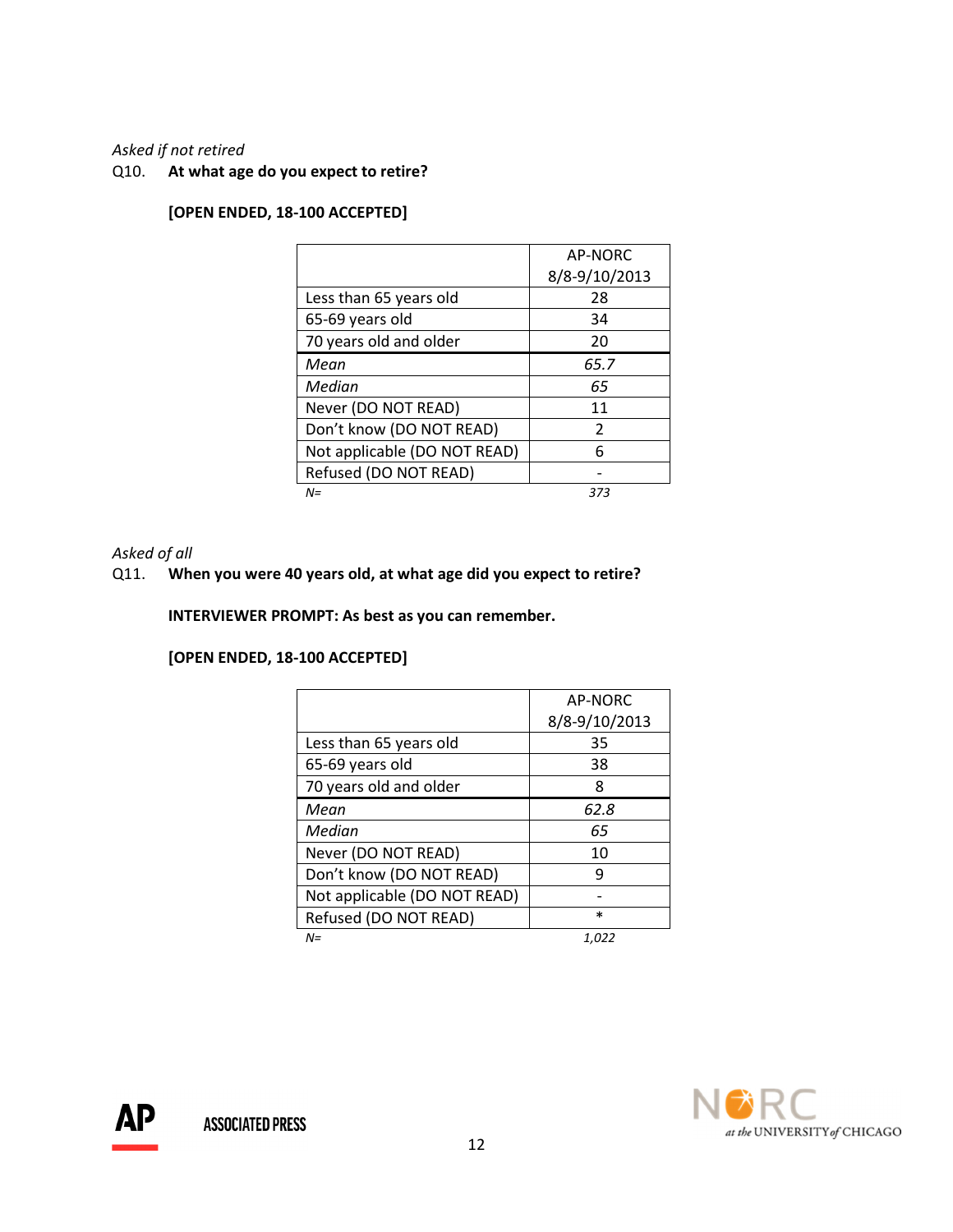#### Asked if not retired

Q10. At what age do you expect to retire?

|                              | AP-NORC       |
|------------------------------|---------------|
|                              | 8/8-9/10/2013 |
| Less than 65 years old       | 28            |
| 65-69 years old              | 34            |
| 70 years old and older       | 20            |
| Mean                         | 65.7          |
| Median                       | 65            |
| Never (DO NOT READ)          | 11            |
| Don't know (DO NOT READ)     | $\mathcal{P}$ |
| Not applicable (DO NOT READ) | 6             |
| Refused (DO NOT READ)        |               |
| $N =$                        | 373           |

# [OPEN ENDED, 18-100 ACCEPTED]

#### Asked of all

# Q11. When you were 40 years old, at what age did you expect to retire?

INTERVIEWER PROMPT: As best as you can remember.

## [OPEN ENDED, 18-100 ACCEPTED]

|                              | AP-NORC       |
|------------------------------|---------------|
|                              | 8/8-9/10/2013 |
| Less than 65 years old       | 35            |
| 65-69 years old              | 38            |
| 70 years old and older       | 8             |
| Mean                         | 62.8          |
| Median                       | 65            |
| Never (DO NOT READ)          | 10            |
| Don't know (DO NOT READ)     | q             |
| Not applicable (DO NOT READ) |               |
| Refused (DO NOT READ)        | $\ast$        |
| $N =$                        | 1.022         |



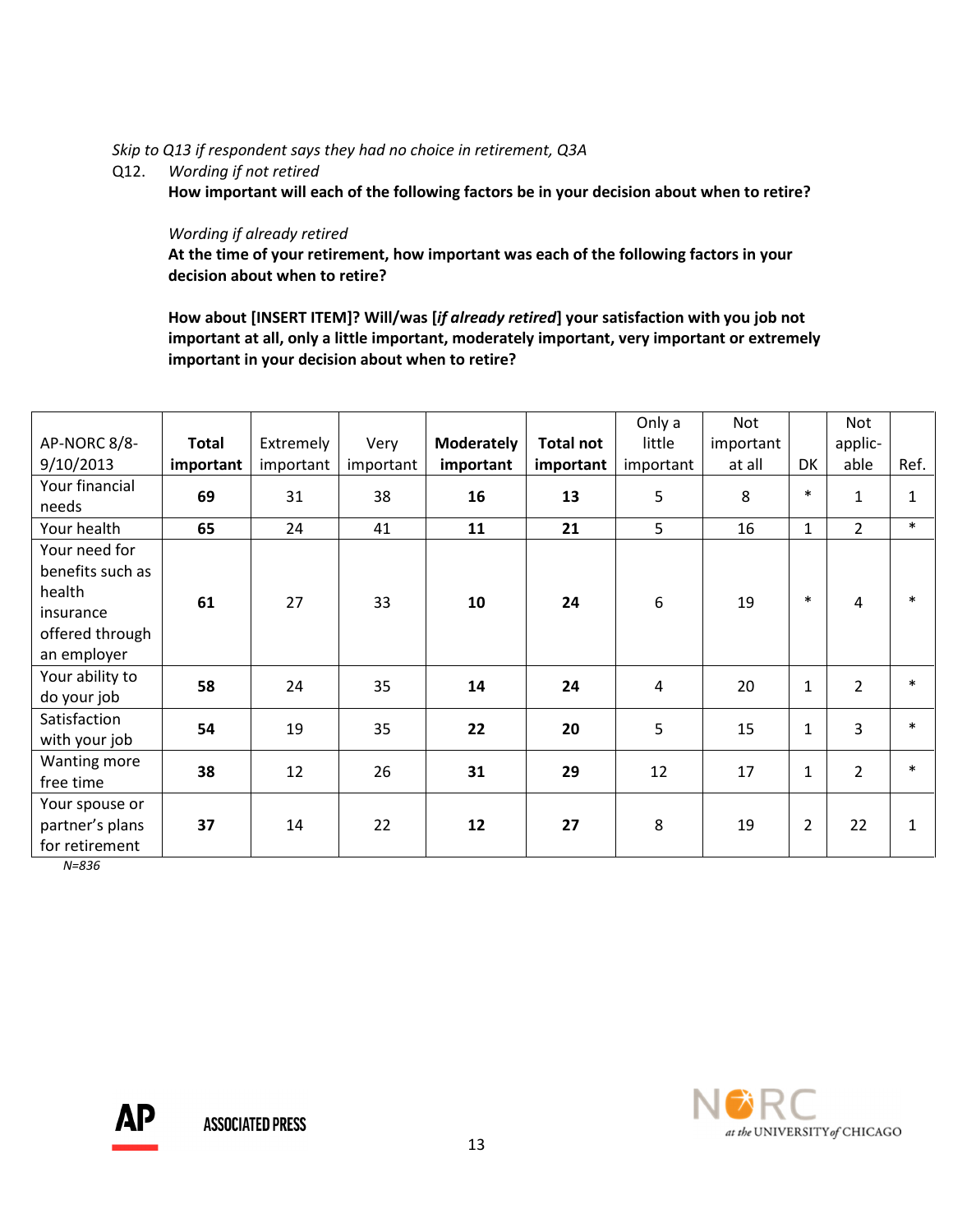#### Skip to Q13 if respondent says they had no choice in retirement, Q3A

# Q12. Wording if not retired

How important will each of the following factors be in your decision about when to retire?

#### Wording if already retired

 At the time of your retirement, how important was each of the following factors in your decision about when to retire?

How about [INSERT ITEM]? Will/was [if already retired] your satisfaction with you job not important at all, only a little important, moderately important, very important or extremely important in your decision about when to retire?

| AP-NORC 8/8-<br>9/10/2013                                                                  | <b>Total</b><br>important | Extremely<br>important | Very<br>important | <b>Moderately</b><br>important | <b>Total not</b><br>important | Only a<br>little<br>important | Not<br>important<br>at all | DK             | Not<br>applic-<br>able | Ref.         |
|--------------------------------------------------------------------------------------------|---------------------------|------------------------|-------------------|--------------------------------|-------------------------------|-------------------------------|----------------------------|----------------|------------------------|--------------|
| Your financial<br>needs                                                                    | 69                        | 31                     | 38                | 16                             | 13                            | 5                             | 8                          | $\ast$         | $\mathbf{1}$           | $\mathbf{1}$ |
| Your health                                                                                | 65                        | 24                     | 41                | 11                             | 21                            | 5                             | 16                         | $\mathbf{1}$   | $\overline{2}$         | $\ast$       |
| Your need for<br>benefits such as<br>health<br>insurance<br>offered through<br>an employer | 61                        | 27                     | 33                | 10                             | 24                            | 6                             | 19                         | $\ast$         | 4                      | $\ast$       |
| Your ability to<br>do your job                                                             | 58                        | 24                     | 35                | 14                             | 24                            | 4                             | 20                         | $\mathbf{1}$   | $\overline{2}$         | $\ast$       |
| Satisfaction<br>with your job                                                              | 54                        | 19                     | 35                | 22                             | 20                            | 5                             | 15                         | $\mathbf{1}$   | $\overline{3}$         | $\ast$       |
| Wanting more<br>free time                                                                  | 38                        | 12                     | 26                | 31                             | 29                            | 12                            | 17                         | $\mathbf{1}$   | $\overline{2}$         | $\ast$       |
| Your spouse or<br>partner's plans<br>for retirement                                        | 37                        | 14                     | 22                | 12                             | 27                            | 8                             | 19                         | $\overline{2}$ | 22                     | $\mathbf{1}$ |

N=836

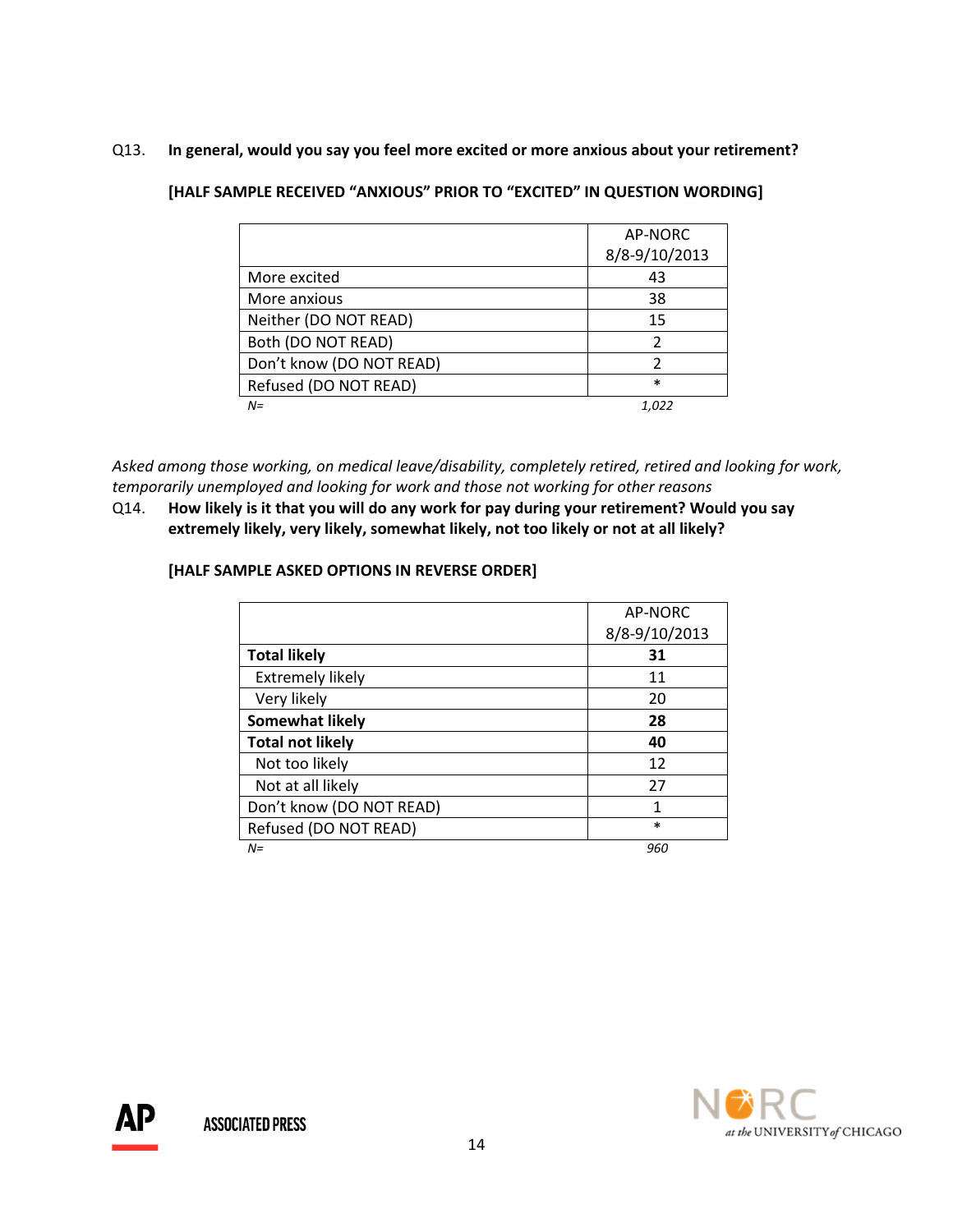# Q13. In general, would you say you feel more excited or more anxious about your retirement?

# [HALF SAMPLE RECEIVED "ANXIOUS" PRIOR TO "EXCITED" IN QUESTION WORDING]

|                          | AP-NORC       |
|--------------------------|---------------|
|                          | 8/8-9/10/2013 |
| More excited             | 43            |
| More anxious             | 38            |
| Neither (DO NOT READ)    | 15            |
| Both (DO NOT READ)       |               |
| Don't know (DO NOT READ) | 2             |
| Refused (DO NOT READ)    | $\ast$        |
| $N =$                    | 1.022         |

Asked among those working, on medical leave/disability, completely retired, retired and looking for work, temporarily unemployed and looking for work and those not working for other reasons

Q14. How likely is it that you will do any work for pay during your retirement? Would you say extremely likely, very likely, somewhat likely, not too likely or not at all likely?

## [HALF SAMPLE ASKED OPTIONS IN REVERSE ORDER]

|                          | AP-NORC       |
|--------------------------|---------------|
|                          | 8/8-9/10/2013 |
| <b>Total likely</b>      | 31            |
| <b>Extremely likely</b>  | 11            |
| Very likely              | 20            |
| <b>Somewhat likely</b>   | 28            |
| <b>Total not likely</b>  | 40            |
| Not too likely           | 12            |
| Not at all likely        | 27            |
| Don't know (DO NOT READ) | 1             |
| Refused (DO NOT READ)    | $\ast$        |
| $N =$                    | 960           |

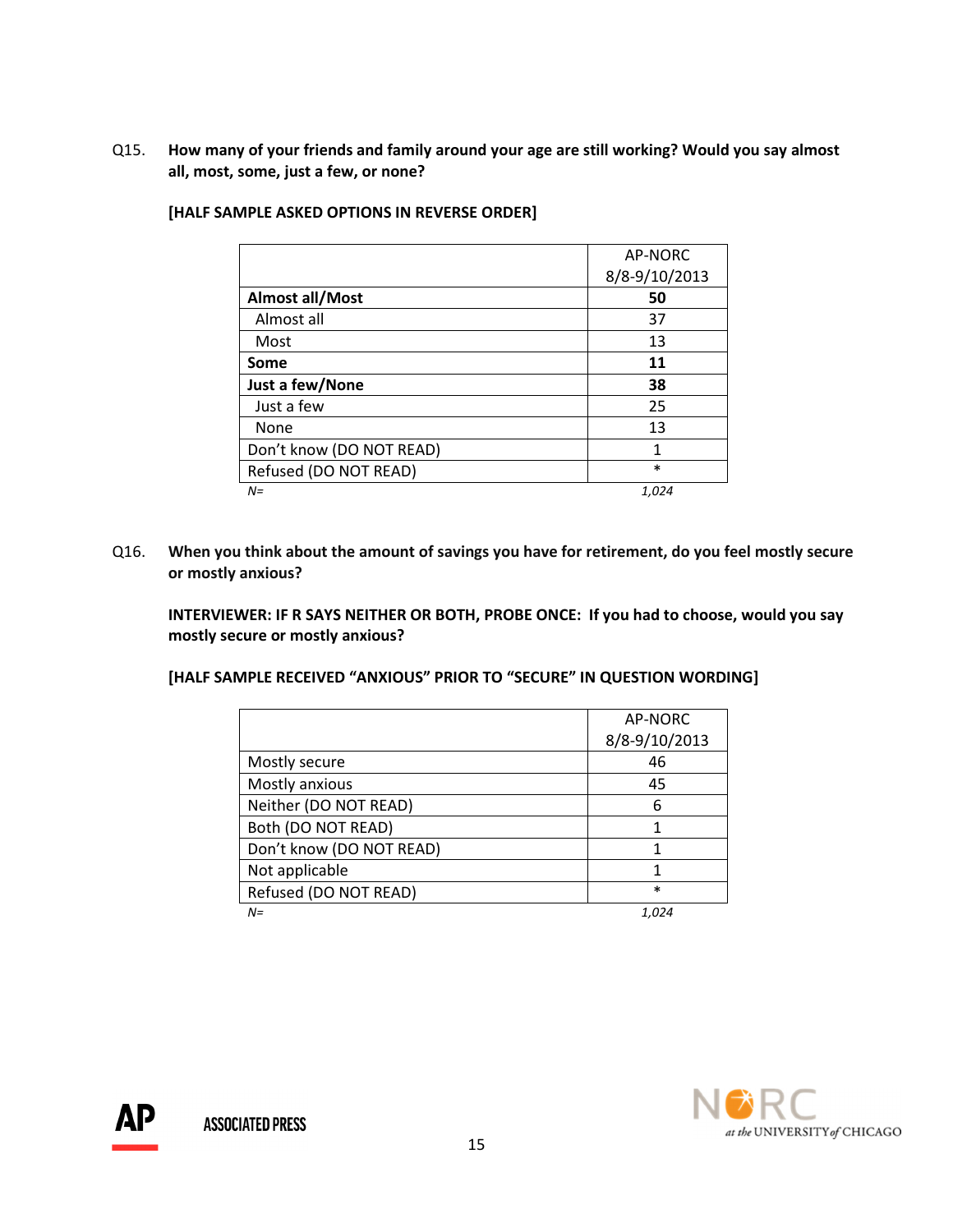Q15. How many of your friends and family around your age are still working? Would you say almost all, most, some, just a few, or none?

|                          | AP-NORC       |
|--------------------------|---------------|
|                          | 8/8-9/10/2013 |
| Almost all/Most          | 50            |
| Almost all               | 37            |
| Most                     | 13            |
| Some                     | 11            |
| Just a few/None          | 38            |
| Just a few               | 25            |
| None                     | 13            |
| Don't know (DO NOT READ) | 1             |
| Refused (DO NOT READ)    | $\ast$        |
| $N =$                    | 1,024         |

#### [HALF SAMPLE ASKED OPTIONS IN REVERSE ORDER]

Q16. When you think about the amount of savings you have for retirement, do you feel mostly secure or mostly anxious?

INTERVIEWER: IF R SAYS NEITHER OR BOTH, PROBE ONCE: If you had to choose, would you say mostly secure or mostly anxious?

[HALF SAMPLE RECEIVED "ANXIOUS" PRIOR TO "SECURE" IN QUESTION WORDING]

|                          | AP-NORC       |
|--------------------------|---------------|
|                          | 8/8-9/10/2013 |
| Mostly secure            | 46            |
| Mostly anxious           | 45            |
| Neither (DO NOT READ)    | 6             |
| Both (DO NOT READ)       |               |
| Don't know (DO NOT READ) |               |
| Not applicable           |               |
| Refused (DO NOT READ)    | $\ast$        |
| $N =$                    | 1.024         |

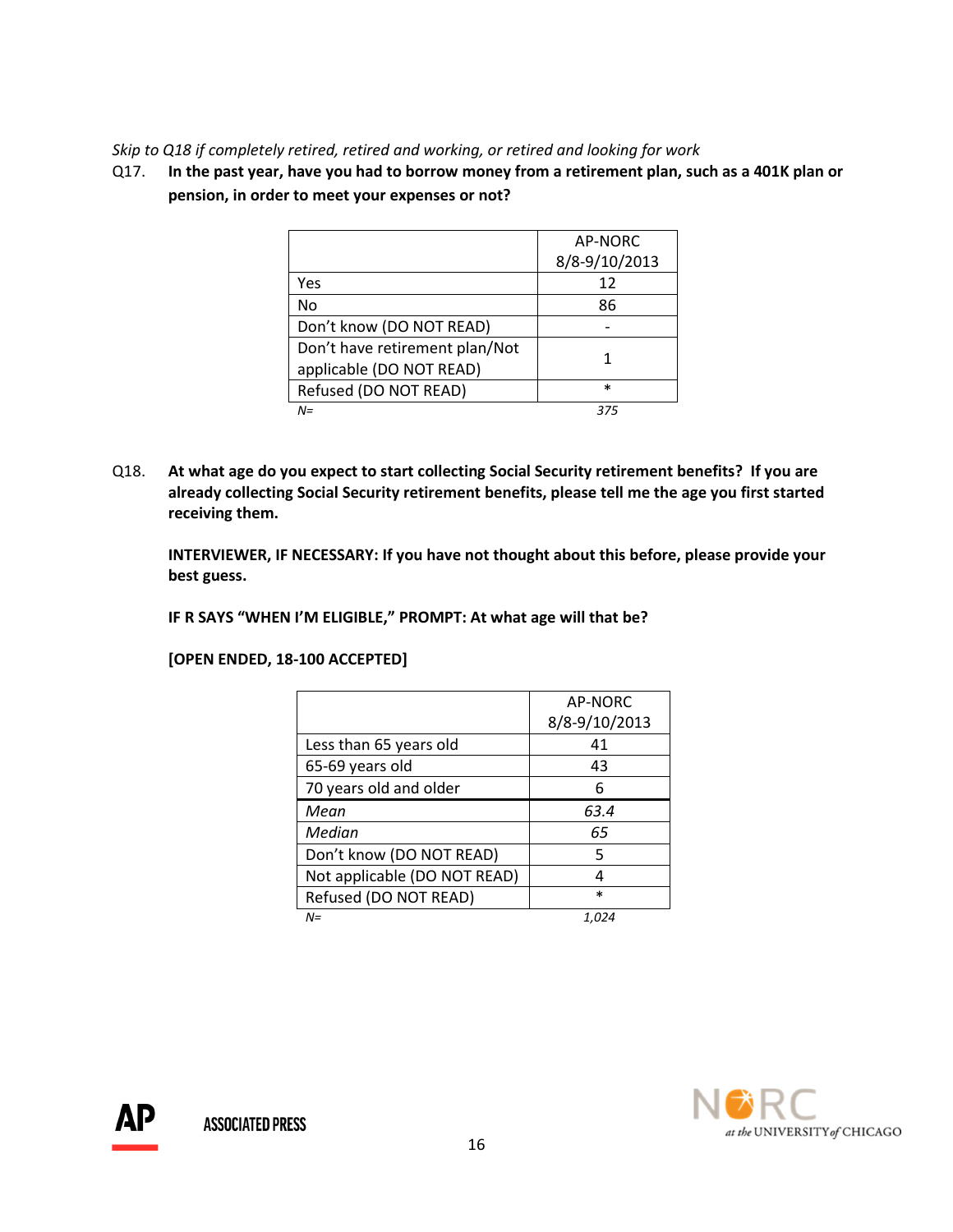## Skip to Q18 if completely retired, retired and working, or retired and looking for work

Q17. In the past year, have you had to borrow money from a retirement plan, such as a 401K plan or pension, in order to meet your expenses or not?

|                                | AP-NORC       |
|--------------------------------|---------------|
|                                | 8/8-9/10/2013 |
| Yes                            | 12            |
| No                             | 86            |
| Don't know (DO NOT READ)       |               |
| Don't have retirement plan/Not |               |
| applicable (DO NOT READ)       |               |
| Refused (DO NOT READ)          | $\ast$        |
| $N =$                          | 375           |

Q18. At what age do you expect to start collecting Social Security retirement benefits? If you are already collecting Social Security retirement benefits, please tell me the age you first started receiving them.

INTERVIEWER, IF NECESSARY: If you have not thought about this before, please provide your best guess.

IF R SAYS "WHEN I'M ELIGIBLE," PROMPT: At what age will that be?

[OPEN ENDED, 18-100 ACCEPTED]

|                              | AP-NORC       |
|------------------------------|---------------|
|                              | 8/8-9/10/2013 |
| Less than 65 years old       | 41            |
| 65-69 years old              | 43            |
| 70 years old and older       | 6             |
| Mean                         | 63.4          |
| Median                       | 65            |
| Don't know (DO NOT READ)     | 5             |
| Not applicable (DO NOT READ) | 4             |
| Refused (DO NOT READ)        | $\ast$        |
| $N =$                        | 1,024         |

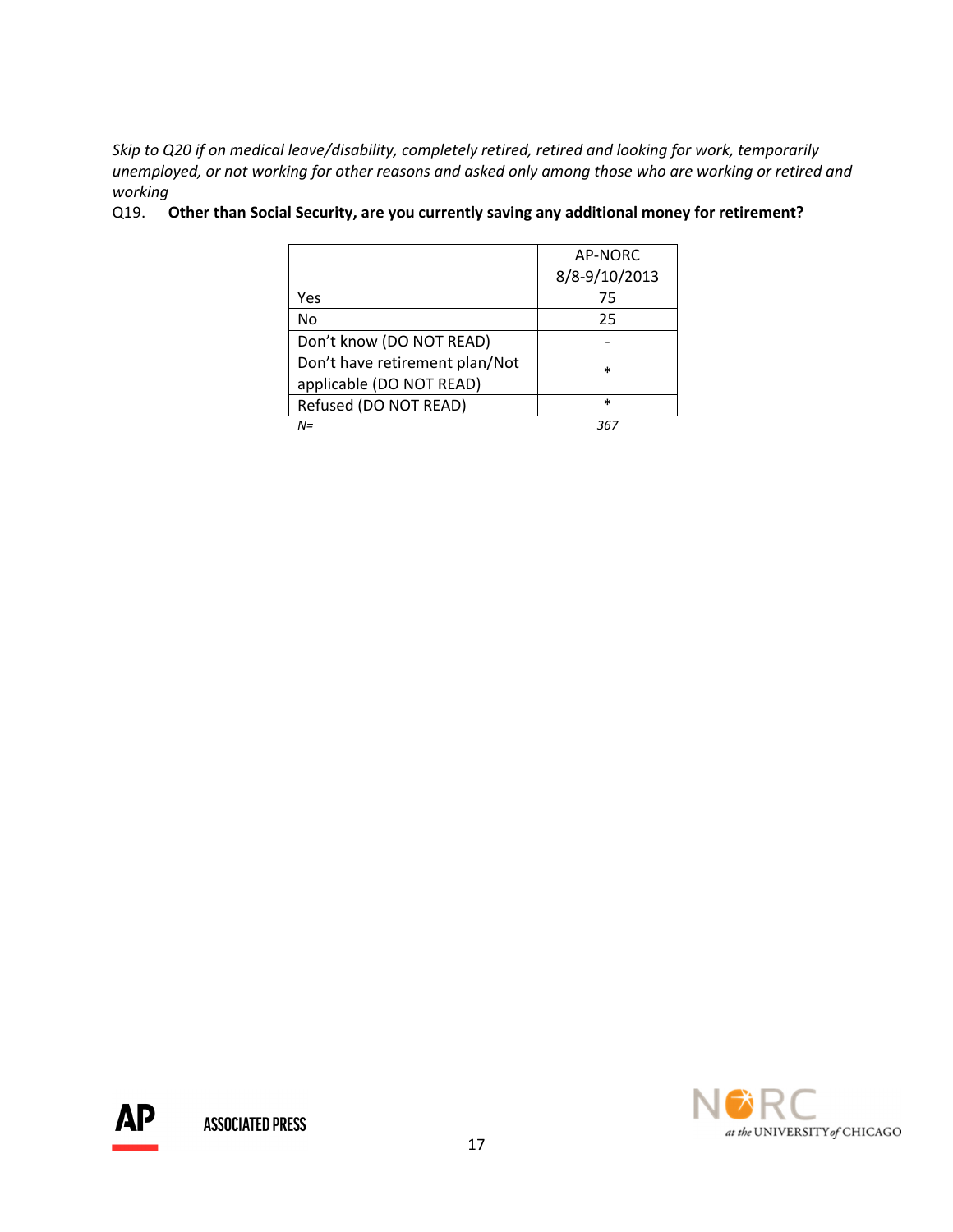Skip to Q20 if on medical leave/disability, completely retired, retired and looking for work, temporarily unemployed, or not working for other reasons and asked only among those who are working or retired and working

|                                | AP-NORC       |
|--------------------------------|---------------|
|                                | 8/8-9/10/2013 |
| Yes                            | 75            |
| No                             | 25            |
| Don't know (DO NOT READ)       |               |
| Don't have retirement plan/Not | $\ast$        |
| applicable (DO NOT READ)       |               |
| Refused (DO NOT READ)          | $\ast$        |
| $N =$                          | 36            |

## Q19. Other than Social Security, are you currently saving any additional money for retirement?



AΡ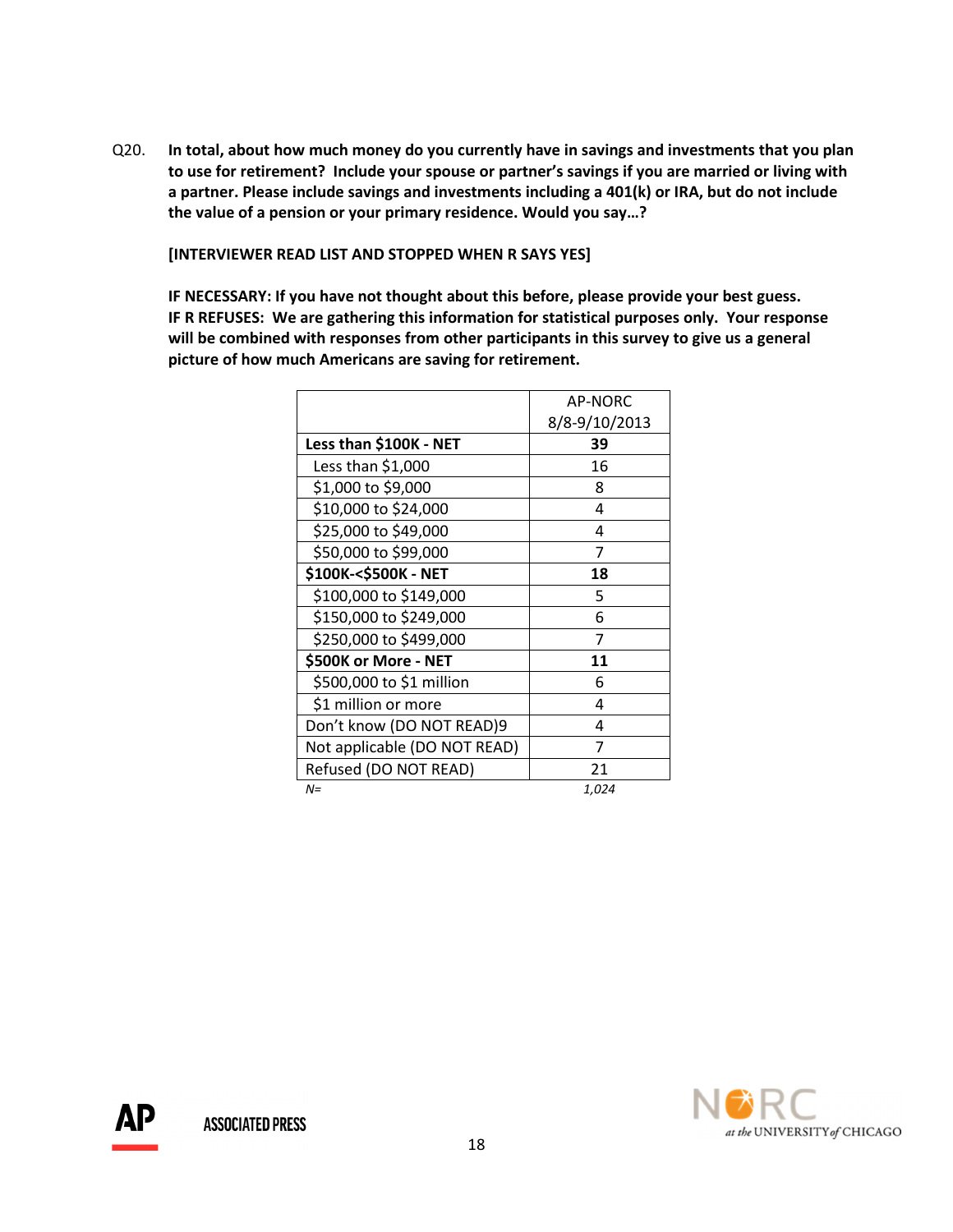Q20. In total, about how much money do you currently have in savings and investments that you plan to use for retirement? Include your spouse or partner's savings if you are married or living with a partner. Please include savings and investments including a 401(k) or IRA, but do not include the value of a pension or your primary residence. Would you say…?

[INTERVIEWER READ LIST AND STOPPED WHEN R SAYS YES]

 IF NECESSARY: If you have not thought about this before, please provide your best guess. IF R REFUSES: We are gathering this information for statistical purposes only. Your response will be combined with responses from other participants in this survey to give us a general picture of how much Americans are saving for retirement.

|                              | <b>AP-NORC</b> |
|------------------------------|----------------|
|                              | 8/8-9/10/2013  |
| Less than \$100K - NET       | 39             |
| Less than \$1,000            | 16             |
| \$1,000 to \$9,000           | 8              |
| \$10,000 to \$24,000         | 4              |
| \$25,000 to \$49,000         | 4              |
| \$50,000 to \$99,000         | 7              |
| \$100K-<\$500K - NET         | 18             |
| \$100,000 to \$149,000       | 5              |
| \$150,000 to \$249,000       | 6              |
| \$250,000 to \$499,000       | 7              |
| \$500K or More - NET         | 11             |
| \$500,000 to \$1 million     | 6              |
| \$1 million or more          | 4              |
| Don't know (DO NOT READ)9    | 4              |
| Not applicable (DO NOT READ) | 7              |
| Refused (DO NOT READ)        | 21             |
| $N =$                        | 1.024          |

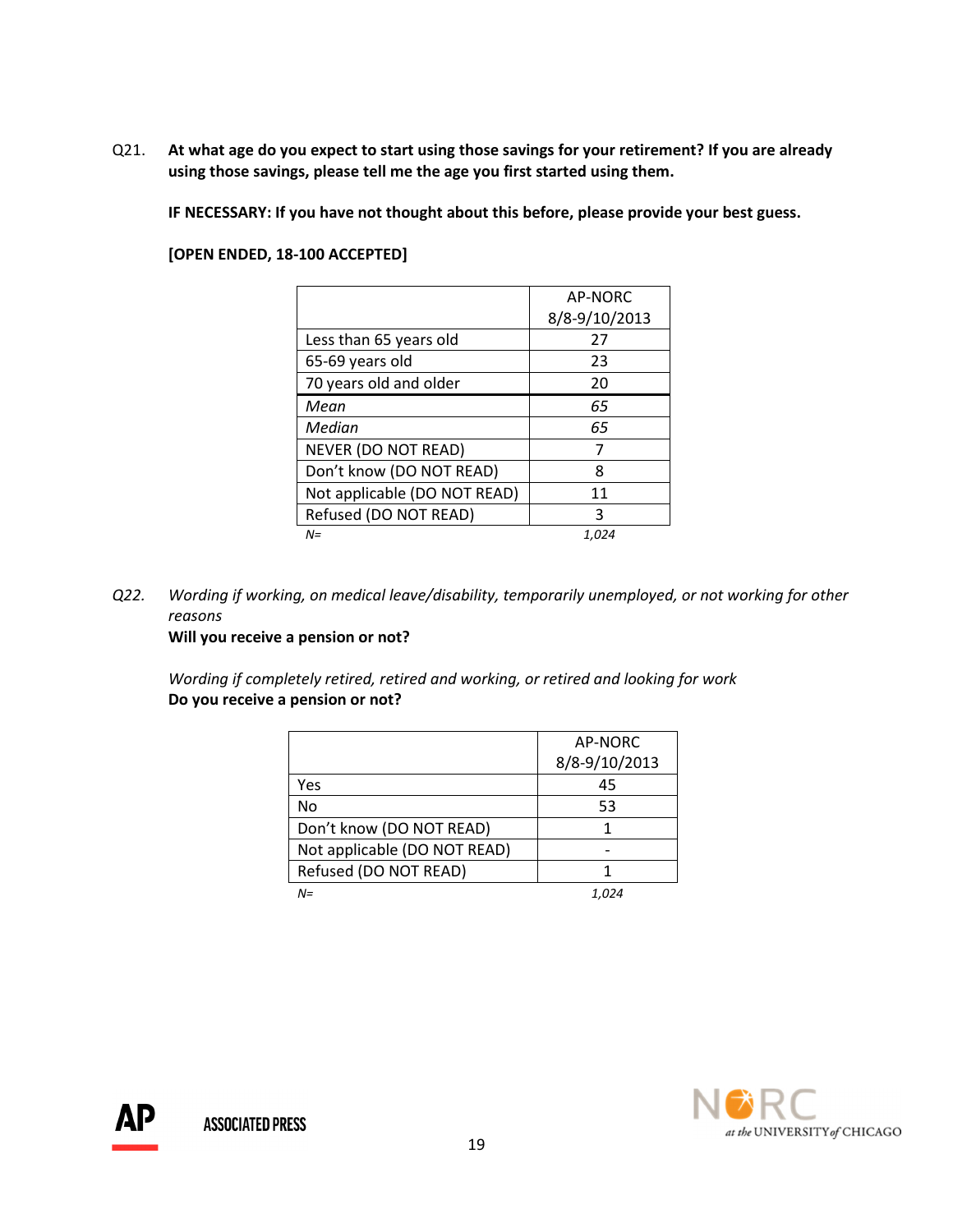Q21. At what age do you expect to start using those savings for your retirement? If you are already using those savings, please tell me the age you first started using them.

IF NECESSARY: If you have not thought about this before, please provide your best guess.

[OPEN ENDED, 18-100 ACCEPTED]

|                              | AP-NORC       |  |  |  |
|------------------------------|---------------|--|--|--|
|                              | 8/8-9/10/2013 |  |  |  |
| Less than 65 years old       | 27            |  |  |  |
| 65-69 years old              | 23            |  |  |  |
| 70 years old and older       | 20            |  |  |  |
| Mean                         | 65            |  |  |  |
| Median                       | 65            |  |  |  |
| <b>NEVER (DO NOT READ)</b>   | 7             |  |  |  |
| Don't know (DO NOT READ)     | 8             |  |  |  |
| Not applicable (DO NOT READ) | 11            |  |  |  |
| Refused (DO NOT READ)        | ς             |  |  |  |
| $N =$                        | 1.024         |  |  |  |

Q22. Wording if working, on medical leave/disability, temporarily unemployed, or not working for other reasons

Will you receive a pension or not?

Wording if completely retired, retired and working, or retired and looking for work Do you receive a pension or not?

|                              | AP-NORC       |
|------------------------------|---------------|
|                              | 8/8-9/10/2013 |
| Yes                          | 45            |
| No                           | 53            |
| Don't know (DO NOT READ)     |               |
| Not applicable (DO NOT READ) |               |
| Refused (DO NOT READ)        |               |
| $N =$                        |               |

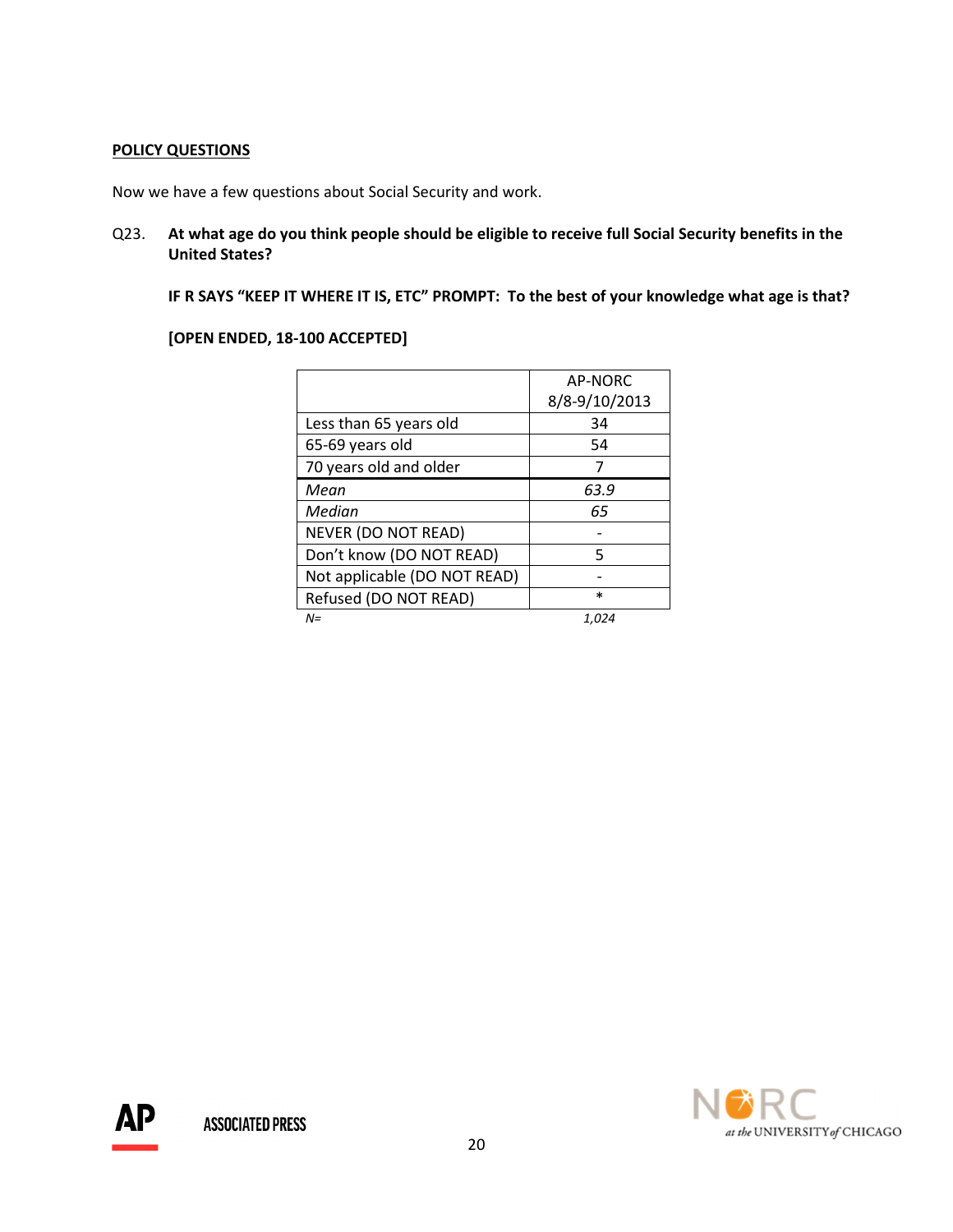# POLICY QUESTIONS

Now we have a few questions about Social Security and work.

Q23. At what age do you think people should be eligible to receive full Social Security benefits in the United States?

IF R SAYS "KEEP IT WHERE IT IS, ETC" PROMPT: To the best of your knowledge what age is that?

|                              | AP-NORC       |
|------------------------------|---------------|
|                              | 8/8-9/10/2013 |
| Less than 65 years old       | 34            |
| 65-69 years old              | 54            |
| 70 years old and older       | 7             |
| Mean                         | 63.9          |
| Median                       | 65            |
| NEVER (DO NOT READ)          |               |
| Don't know (DO NOT READ)     | 5             |
| Not applicable (DO NOT READ) |               |
| Refused (DO NOT READ)        | $\ast$        |
| $N =$                        | 1.024         |

## [OPEN ENDED, 18-100 ACCEPTED]

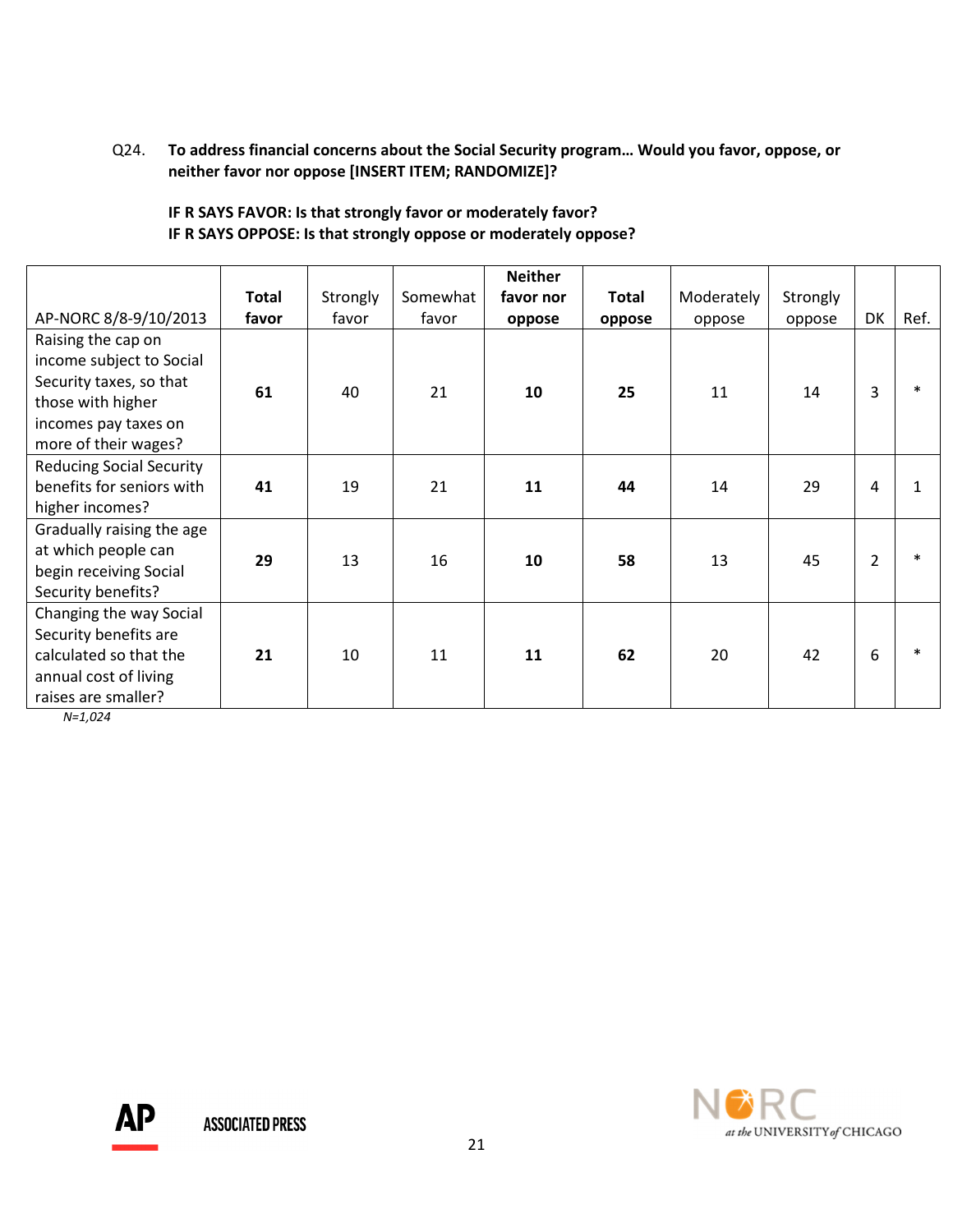# Q24. To address financial concerns about the Social Security program… Would you favor, oppose, or neither favor nor oppose [INSERT ITEM; RANDOMIZE]?

# IF R SAYS FAVOR: Is that strongly favor or moderately favor? IF R SAYS OPPOSE: Is that strongly oppose or moderately oppose?

|                                                                                                                                                | <b>Total</b> | Strongly | Somewhat | <b>Neither</b><br>favor nor | <b>Total</b> | Moderately | Strongly |    |      |
|------------------------------------------------------------------------------------------------------------------------------------------------|--------------|----------|----------|-----------------------------|--------------|------------|----------|----|------|
| AP-NORC 8/8-9/10/2013                                                                                                                          | favor        | favor    | favor    | oppose                      | oppose       | oppose     | oppose   | DK | Ref. |
| Raising the cap on<br>income subject to Social<br>Security taxes, so that<br>those with higher<br>incomes pay taxes on<br>more of their wages? | 61           | 40       | 21       | 10                          | 25           | 11         | 14       | 3  |      |
| <b>Reducing Social Security</b><br>benefits for seniors with<br>higher incomes?                                                                | 41           | 19       | 21       | 11                          | 44           | 14         | 29       | 4  |      |
| Gradually raising the age<br>at which people can<br>begin receiving Social<br>Security benefits?                                               | 29           | 13       | 16       | 10                          | 58           | 13         | 45       | 2  |      |
| Changing the way Social<br>Security benefits are<br>calculated so that the<br>annual cost of living<br>raises are smaller?                     | 21           | 10       | 11       | 11                          | 62           | 20         | 42       | 6  |      |

N=1,024

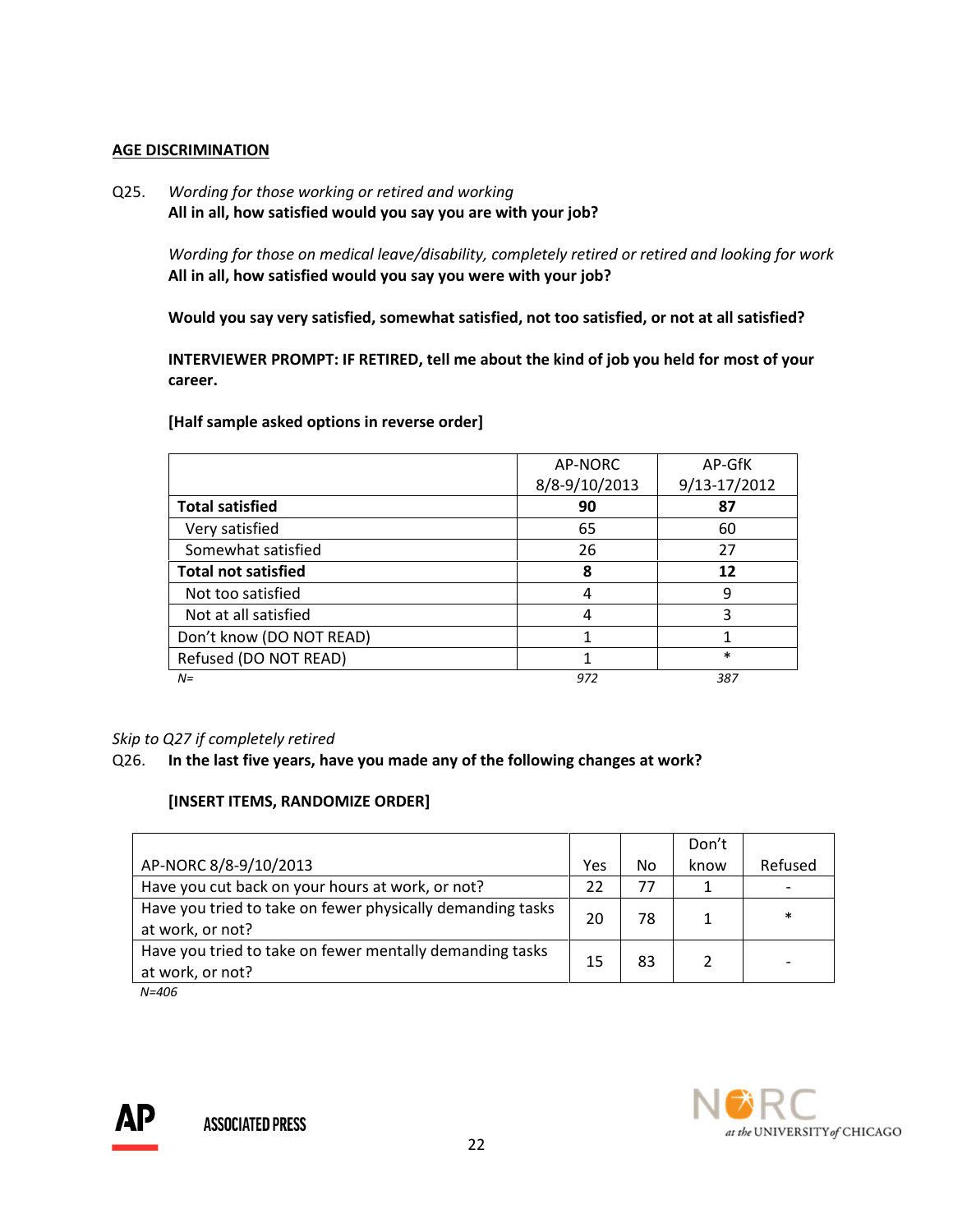## AGE DISCRIMINATION

Q25. Wording for those working or retired and working All in all, how satisfied would you say you are with your job?

> Wording for those on medical leave/disability, completely retired or retired and looking for work All in all, how satisfied would you say you were with your job?

Would you say very satisfied, somewhat satisfied, not too satisfied, or not at all satisfied?

INTERVIEWER PROMPT: IF RETIRED, tell me about the kind of job you held for most of your career.

## [Half sample asked options in reverse order]

|                            | AP-NORC       | AP-GfK       |
|----------------------------|---------------|--------------|
|                            | 8/8-9/10/2013 | 9/13-17/2012 |
| <b>Total satisfied</b>     | 90            | 87           |
| Very satisfied             | 65            | 60           |
| Somewhat satisfied         | 26            | 27           |
| <b>Total not satisfied</b> | 8             | 12           |
| Not too satisfied          | 4             | 9            |
| Not at all satisfied       | 4             | 3            |
| Don't know (DO NOT READ)   |               |              |
| Refused (DO NOT READ)      |               | $\ast$       |
| $N =$                      | 972           | 387          |

# Skip to Q27 if completely retired

#### Q26. In the last five years, have you made any of the following changes at work?

#### [INSERT ITEMS, RANDOMIZE ORDER]

|                                                                                |     |    | Don't |         |
|--------------------------------------------------------------------------------|-----|----|-------|---------|
| AP-NORC 8/8-9/10/2013                                                          | Yes | No | know  | Refused |
| Have you cut back on your hours at work, or not?                               | 22  | 77 |       |         |
| Have you tried to take on fewer physically demanding tasks<br>at work, or not? | 20  | 78 |       | $\ast$  |
| Have you tried to take on fewer mentally demanding tasks<br>at work, or not?   | 15  | 83 |       |         |

N=406



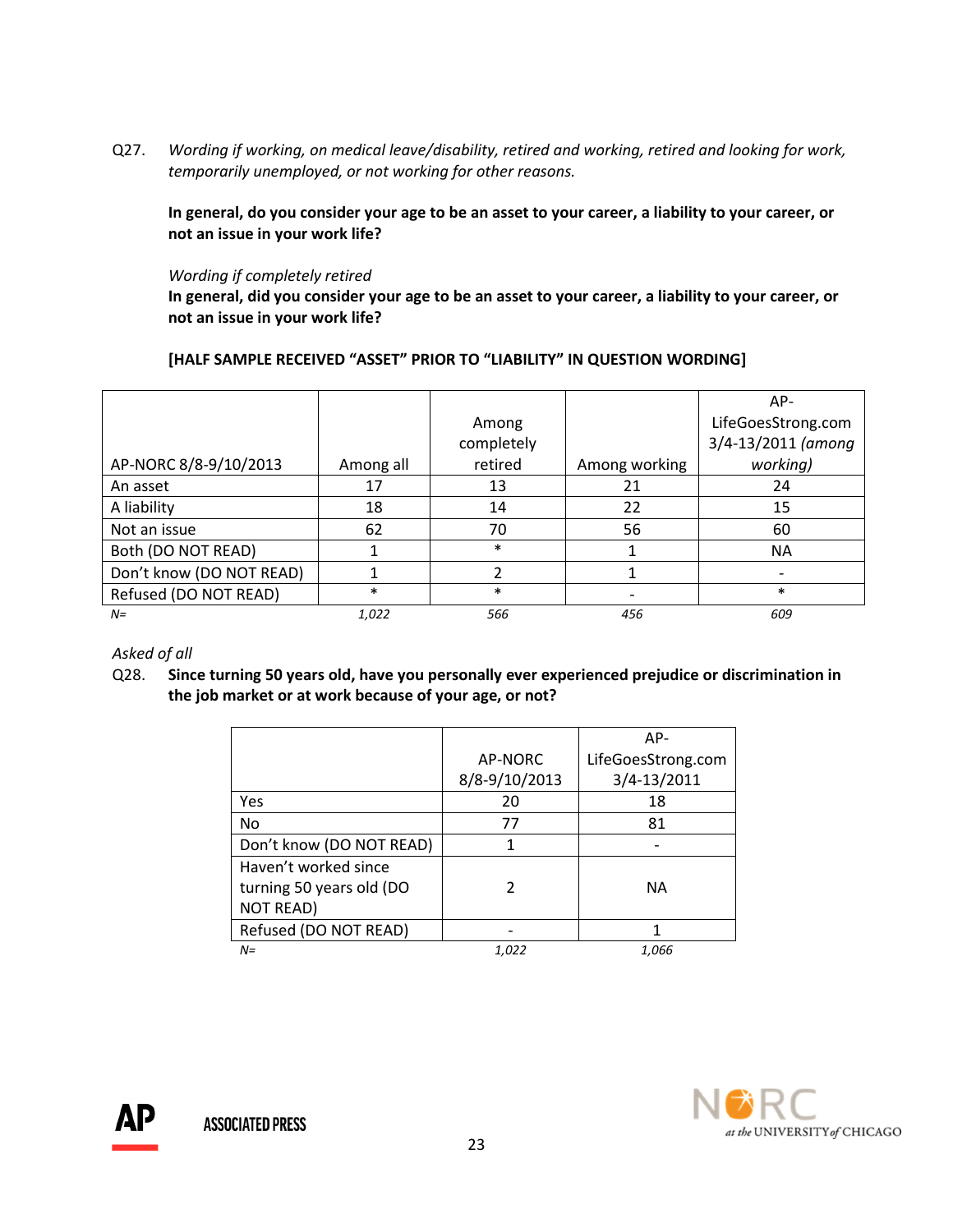Q27. Wording if working, on medical leave/disability, retired and working, retired and looking for work, temporarily unemployed, or not working for other reasons.

 In general, do you consider your age to be an asset to your career, a liability to your career, or not an issue in your work life?

#### Wording if completely retired

In general, did you consider your age to be an asset to your career, a liability to your career, or not an issue in your work life?

# [HALF SAMPLE RECEIVED "ASSET" PRIOR TO "LIABILITY" IN QUESTION WORDING]

|                          |           |            |               | AP-                |
|--------------------------|-----------|------------|---------------|--------------------|
|                          |           | Among      |               | LifeGoesStrong.com |
|                          |           | completely |               | 3/4-13/2011 (among |
| AP-NORC 8/8-9/10/2013    | Among all | retired    | Among working | working)           |
| An asset                 | 17        | 13         | 21            | 24                 |
| A liability              | 18        | 14         | 22            | 15                 |
| Not an issue             | 62        | 70         | 56            | 60                 |
| Both (DO NOT READ)       |           | $\ast$     |               | <b>NA</b>          |
| Don't know (DO NOT READ) |           |            |               |                    |
| Refused (DO NOT READ)    | $\ast$    | $\ast$     |               | $\ast$             |
| $N =$                    | 1,022     | 566        | 456           | 609                |

#### Asked of all

Q28. Since turning 50 years old, have you personally ever experienced prejudice or discrimination in the job market or at work because of your age, or not?

|                          |               | AP-                |
|--------------------------|---------------|--------------------|
|                          | AP-NORC       | LifeGoesStrong.com |
|                          | 8/8-9/10/2013 | 3/4-13/2011        |
| Yes                      | 20            | 18                 |
| No                       | 77            | 81                 |
| Don't know (DO NOT READ) | 1             |                    |
| Haven't worked since     |               |                    |
| turning 50 years old (DO |               | NА                 |
| <b>NOT READ)</b>         |               |                    |
| Refused (DO NOT READ)    |               |                    |
| $N =$                    | 1.022         | 1.066              |

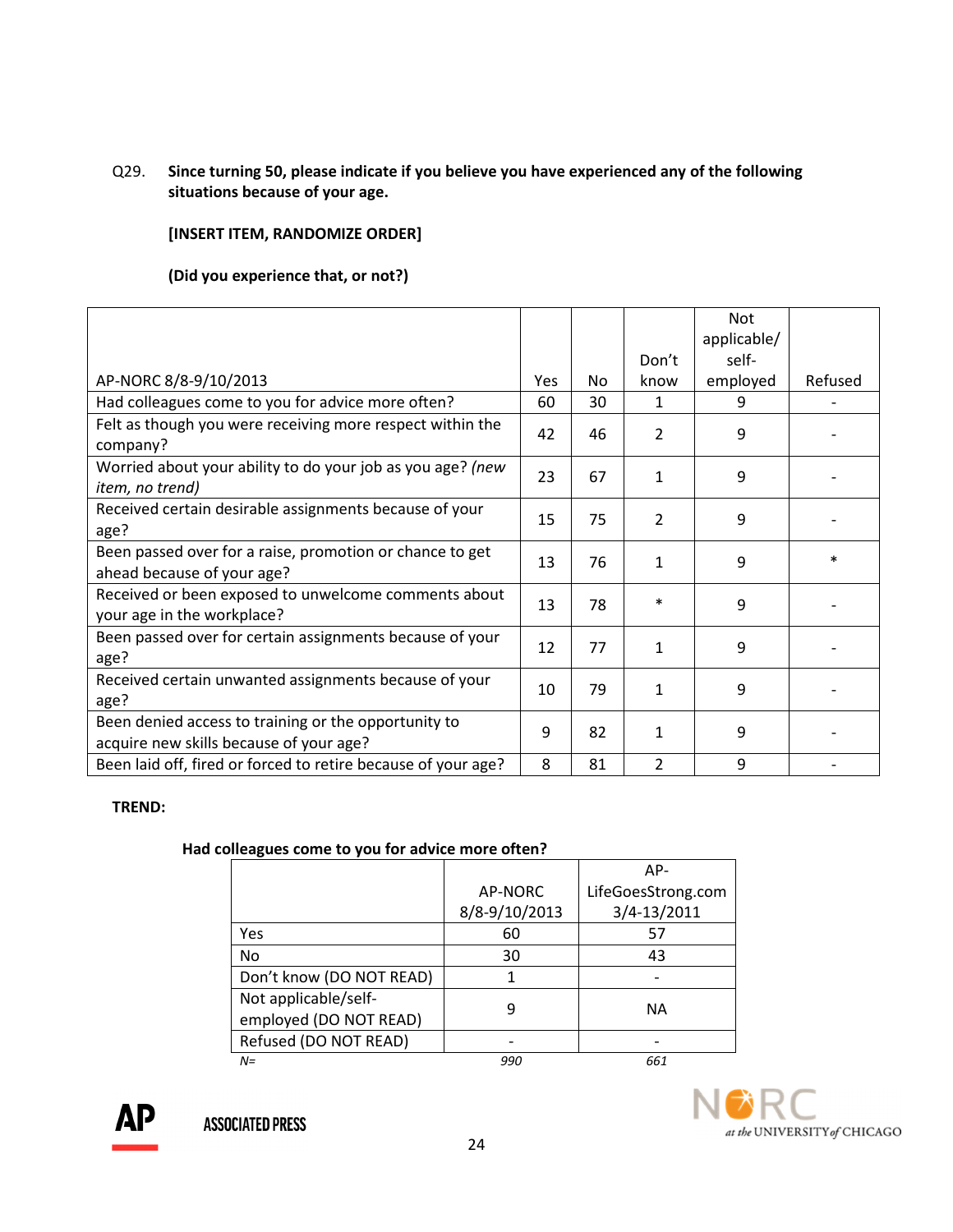# Q29. Since turning 50, please indicate if you believe you have experienced any of the following situations because of your age.

# [INSERT ITEM, RANDOMIZE ORDER]

# (Did you experience that, or not?)

|                                                                                                 |     |     |                | Not         |         |
|-------------------------------------------------------------------------------------------------|-----|-----|----------------|-------------|---------|
|                                                                                                 |     |     |                | applicable/ |         |
|                                                                                                 |     |     | Don't          | self-       |         |
| AP-NORC 8/8-9/10/2013                                                                           | Yes | No. | know           | employed    | Refused |
| Had colleagues come to you for advice more often?                                               | 60  | 30  | 1              | 9           |         |
| Felt as though you were receiving more respect within the<br>company?                           | 42  | 46  | $\overline{2}$ | 9           |         |
| Worried about your ability to do your job as you age? (new<br>item, no trend)                   | 23  | 67  | 1              | 9           |         |
| Received certain desirable assignments because of your<br>age?                                  | 15  | 75  | 2              | 9           |         |
| Been passed over for a raise, promotion or chance to get<br>ahead because of your age?          | 13  | 76  | 1              | 9           | $\ast$  |
| Received or been exposed to unwelcome comments about<br>your age in the workplace?              | 13  | 78  | $\ast$         | 9           |         |
| Been passed over for certain assignments because of your<br>age?                                | 12  | 77  | 1              | 9           |         |
| Received certain unwanted assignments because of your<br>age?                                   | 10  | 79  | 1              | 9           |         |
| Been denied access to training or the opportunity to<br>acquire new skills because of your age? | 9   | 82  | 1              | 9           |         |
| Been laid off, fired or forced to retire because of your age?                                   | 8   | 81  | 2              | 9           |         |

#### TREND:

#### Had colleagues come to you for advice more often?

|                                                |               | $AP-$              |
|------------------------------------------------|---------------|--------------------|
|                                                | AP-NORC       | LifeGoesStrong.com |
|                                                | 8/8-9/10/2013 | 3/4-13/2011        |
| Yes                                            | 60            | 57                 |
| No                                             | 30            | 43                 |
| Don't know (DO NOT READ)                       |               |                    |
| Not applicable/self-<br>employed (DO NOT READ) | 9             | ΝA                 |
| Refused (DO NOT READ)                          |               |                    |
| $N =$                                          | 990           | 661                |



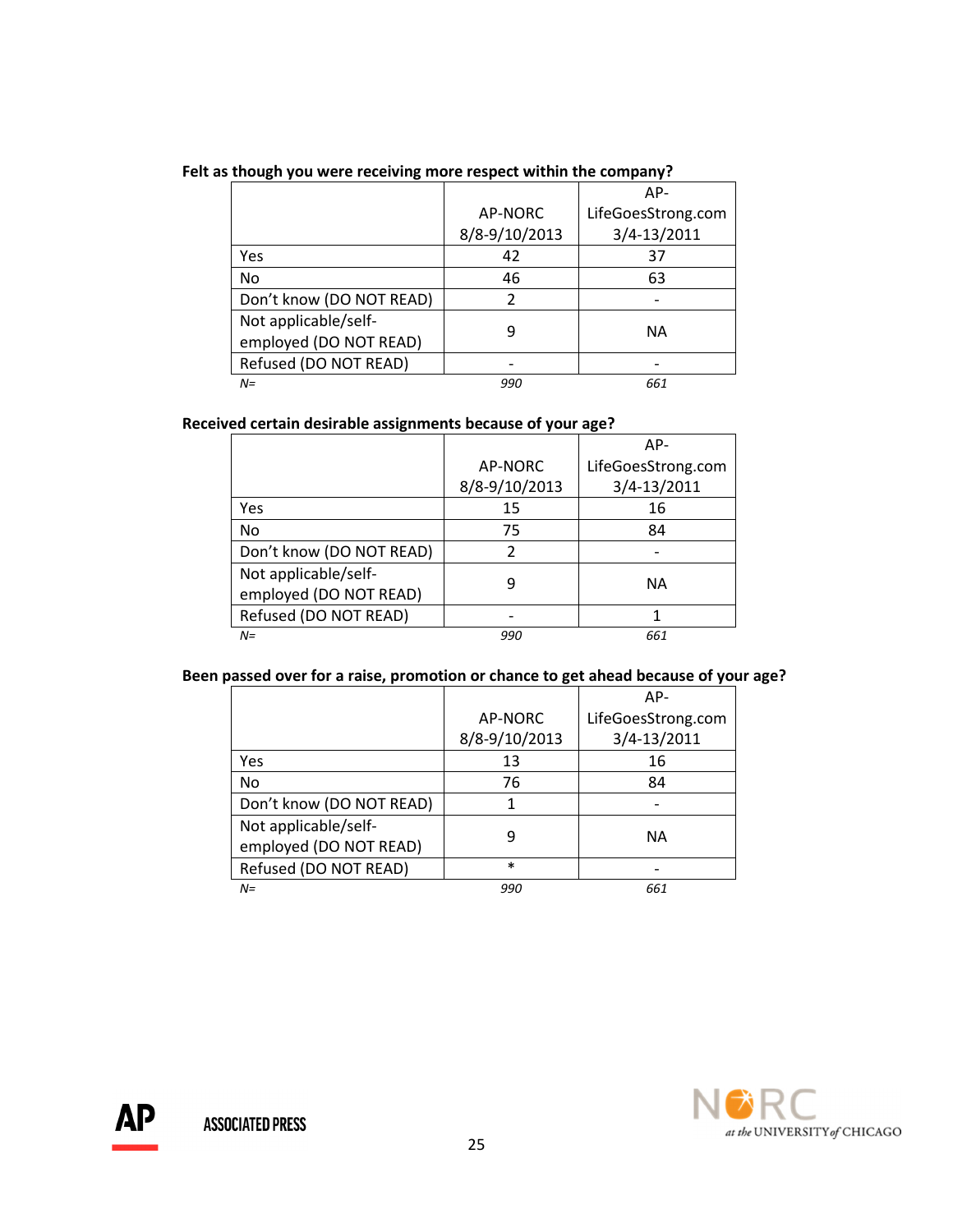| Felt as though you were receiving more respect within the company? |  |  |
|--------------------------------------------------------------------|--|--|
|                                                                    |  |  |

|                                                |               | $AP-$              |
|------------------------------------------------|---------------|--------------------|
|                                                | AP-NORC       | LifeGoesStrong.com |
|                                                | 8/8-9/10/2013 | 3/4-13/2011        |
| Yes                                            | 42            | 37                 |
| No                                             | 46            | 63                 |
| Don't know (DO NOT READ)                       |               |                    |
| Not applicable/self-<br>employed (DO NOT READ) | q             | <b>NA</b>          |
| Refused (DO NOT READ)                          |               |                    |
| $N =$                                          | 990           | 661                |

#### Received certain desirable assignments because of your age?

|                                                |               | AP-                |
|------------------------------------------------|---------------|--------------------|
|                                                | AP-NORC       | LifeGoesStrong.com |
|                                                | 8/8-9/10/2013 | 3/4-13/2011        |
| Yes                                            | 15            | 16                 |
| No                                             | 75            | 84                 |
| Don't know (DO NOT READ)                       |               |                    |
| Not applicable/self-<br>employed (DO NOT READ) | q             | <b>NA</b>          |
| Refused (DO NOT READ)                          |               |                    |
| $N =$                                          | 990           | 661                |

# Been passed over for a raise, promotion or chance to get ahead because of your age?

|                          |               | $AP-$              |
|--------------------------|---------------|--------------------|
|                          | AP-NORC       | LifeGoesStrong.com |
|                          | 8/8-9/10/2013 | 3/4-13/2011        |
| Yes                      | 13            | 16                 |
| No                       | 76            | 84                 |
| Don't know (DO NOT READ) |               |                    |
| Not applicable/self-     | 9             | NА                 |
| employed (DO NOT READ)   |               |                    |
| Refused (DO NOT READ)    | $\ast$        |                    |
| $N =$                    | 990           | 661                |

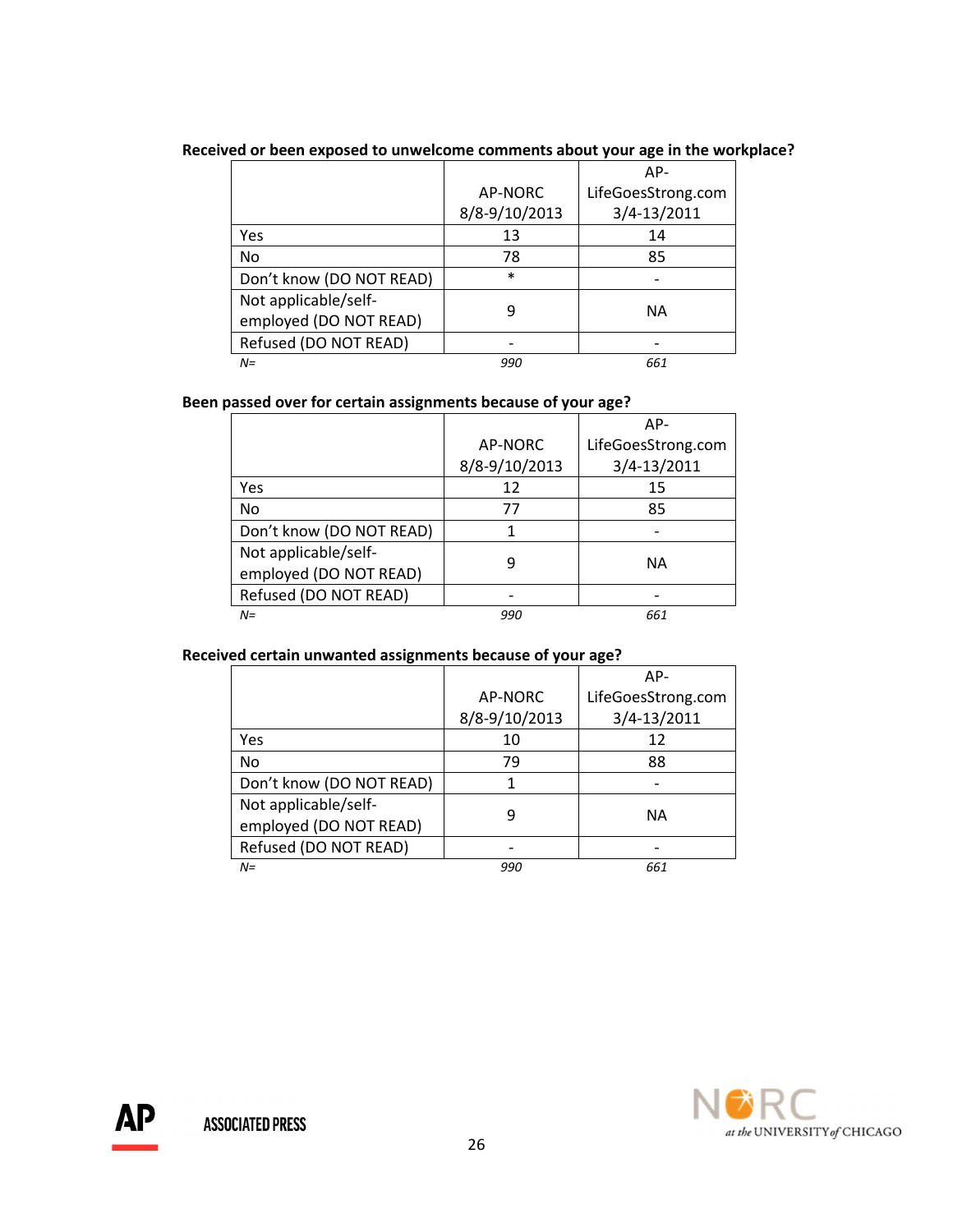|                          |               | $AP-$              |
|--------------------------|---------------|--------------------|
|                          | AP-NORC       | LifeGoesStrong.com |
|                          | 8/8-9/10/2013 | 3/4-13/2011        |
| Yes                      | 13            | 14                 |
| No                       | 78            | 85                 |
| Don't know (DO NOT READ) | $\ast$        |                    |
| Not applicable/self-     |               | ΝA                 |
| employed (DO NOT READ)   |               |                    |
| Refused (DO NOT READ)    |               |                    |
| $N =$                    | 990           | 661                |

# Received or been exposed to unwelcome comments about your age in the workplace?

# Been passed over for certain assignments because of your age?

|                          |               | AP-                |
|--------------------------|---------------|--------------------|
|                          | AP-NORC       | LifeGoesStrong.com |
|                          | 8/8-9/10/2013 | 3/4-13/2011        |
| Yes                      | 12            | 15                 |
| <b>No</b>                | 77            | 85                 |
| Don't know (DO NOT READ) |               |                    |
| Not applicable/self-     |               | <b>NA</b>          |
| employed (DO NOT READ)   |               |                    |
| Refused (DO NOT READ)    |               |                    |
| $N =$                    | 990           | 661                |

#### Received certain unwanted assignments because of your age?

|                                                |               | AP-                |
|------------------------------------------------|---------------|--------------------|
|                                                | AP-NORC       | LifeGoesStrong.com |
|                                                | 8/8-9/10/2013 | 3/4-13/2011        |
| Yes                                            | 10            | 12                 |
| No                                             | 79            | 88                 |
| Don't know (DO NOT READ)                       |               |                    |
| Not applicable/self-<br>employed (DO NOT READ) |               | <b>NA</b>          |
| Refused (DO NOT READ)                          |               |                    |
| $N =$                                          | 990           | 661                |

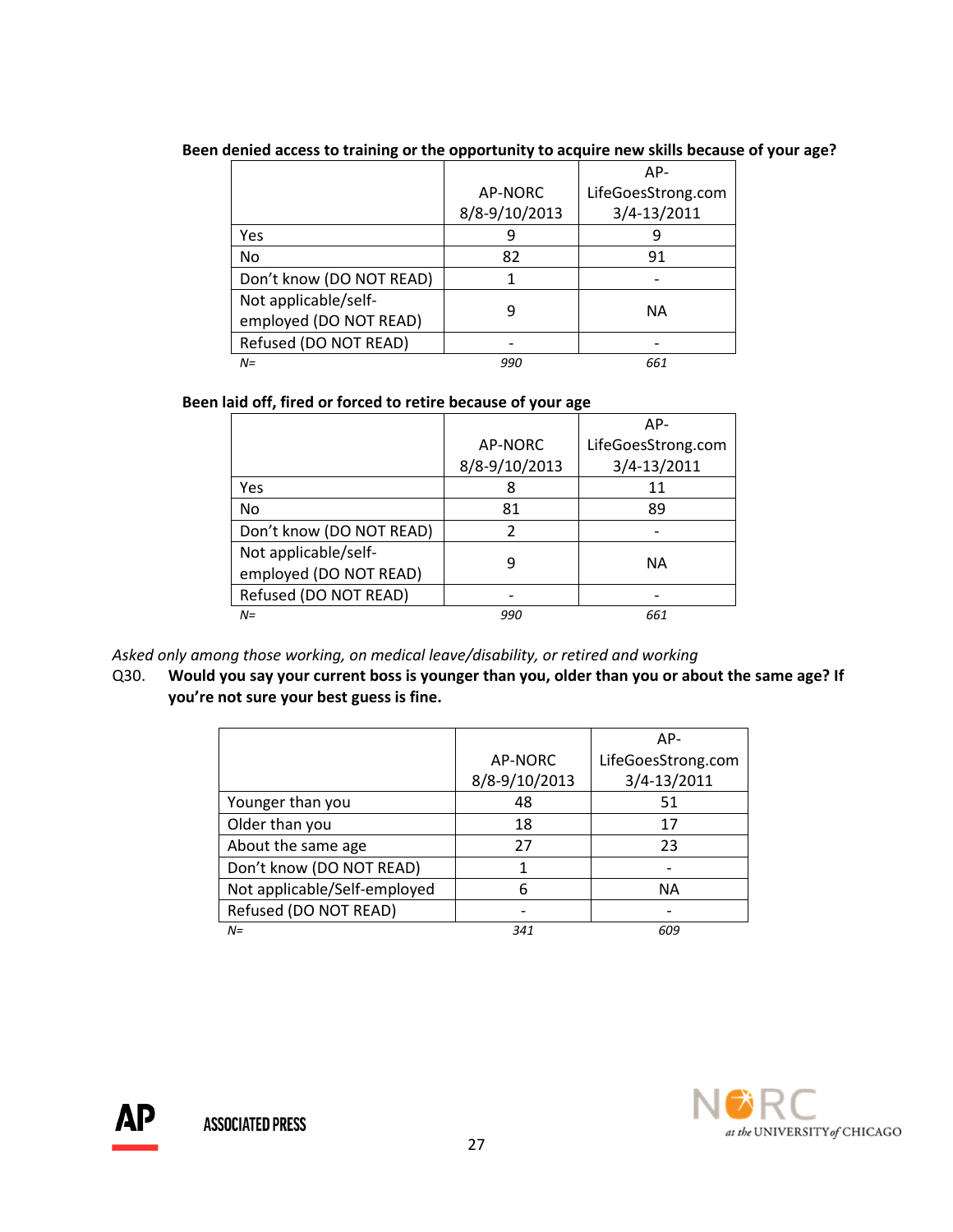|                          |               | AP-                |
|--------------------------|---------------|--------------------|
|                          | AP-NORC       | LifeGoesStrong.com |
|                          | 8/8-9/10/2013 | 3/4-13/2011        |
| Yes                      | Ч             |                    |
| No                       | 82            | 91                 |
| Don't know (DO NOT READ) |               |                    |
| Not applicable/self-     | q             | NА                 |
| employed (DO NOT READ)   |               |                    |
| Refused (DO NOT READ)    |               |                    |
| $N =$                    | 990           | 661                |

# Been denied access to training or the opportunity to acquire new skills because of your age?

#### Been laid off, fired or forced to retire because of your age

|                          |               | AP-                |
|--------------------------|---------------|--------------------|
|                          | AP-NORC       | LifeGoesStrong.com |
|                          | 8/8-9/10/2013 | 3/4-13/2011        |
| Yes                      |               | 11                 |
| No                       | 81            | 89                 |
| Don't know (DO NOT READ) |               |                    |
| Not applicable/self-     | ч             | NА                 |
| employed (DO NOT READ)   |               |                    |
| Refused (DO NOT READ)    |               |                    |
| $N =$                    | 990           | 661                |

Asked only among those working, on medical leave/disability, or retired and working

Q30. Would you say your current boss is younger than you, older than you or about the same age? If you're not sure your best guess is fine.

|                              |               | $AP-$              |
|------------------------------|---------------|--------------------|
|                              | AP-NORC       | LifeGoesStrong.com |
|                              | 8/8-9/10/2013 | 3/4-13/2011        |
| Younger than you             | 48            | 51                 |
| Older than you               | 18            | 17                 |
| About the same age           | 27            | 23                 |
| Don't know (DO NOT READ)     | 1             |                    |
| Not applicable/Self-employed | 6             | NА                 |
| Refused (DO NOT READ)        |               |                    |
| $N =$                        | 341           | 609                |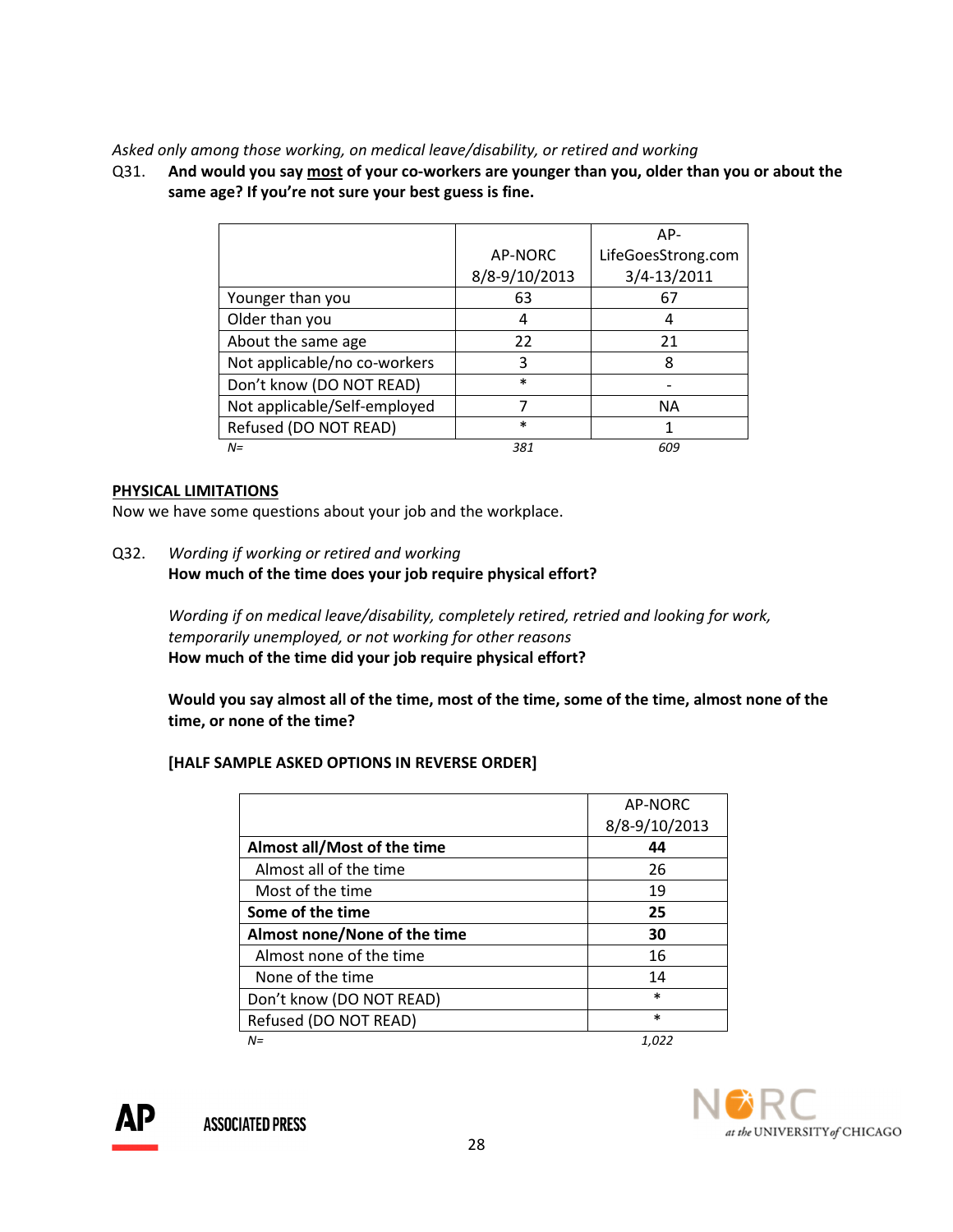## Asked only among those working, on medical leave/disability, or retired and working

Q31. And would you say most of your co-workers are younger than you, older than you or about the same age? If you're not sure your best guess is fine.

|                              |               | $AP-$              |
|------------------------------|---------------|--------------------|
|                              | AP-NORC       | LifeGoesStrong.com |
|                              | 8/8-9/10/2013 | 3/4-13/2011        |
| Younger than you             | 63            | 67                 |
| Older than you               | 4             | 4                  |
| About the same age           | 22            | 21                 |
| Not applicable/no co-workers | 3             | 8                  |
| Don't know (DO NOT READ)     | $\ast$        |                    |
| Not applicable/Self-employed |               | <b>NA</b>          |
| Refused (DO NOT READ)        | $\ast$        |                    |
| $N =$                        | 381           | 609                |

#### PHYSICAL LIMITATIONS

Now we have some questions about your job and the workplace.

Q32. Wording if working or retired and working How much of the time does your job require physical effort?

> Wording if on medical leave/disability, completely retired, retried and looking for work, temporarily unemployed, or not working for other reasons How much of the time did your job require physical effort?

 Would you say almost all of the time, most of the time, some of the time, almost none of the time, or none of the time?

# [HALF SAMPLE ASKED OPTIONS IN REVERSE ORDER]

|                              | AP-NORC       |
|------------------------------|---------------|
|                              | 8/8-9/10/2013 |
| Almost all/Most of the time  | 44            |
| Almost all of the time       | 26            |
| Most of the time             | 19            |
| Some of the time             | 25            |
| Almost none/None of the time | 30            |
| Almost none of the time      | 16            |
| None of the time             | 14            |
| Don't know (DO NOT READ)     | $\ast$        |
| Refused (DO NOT READ)        | $\ast$        |
| N=                           | 1,022         |

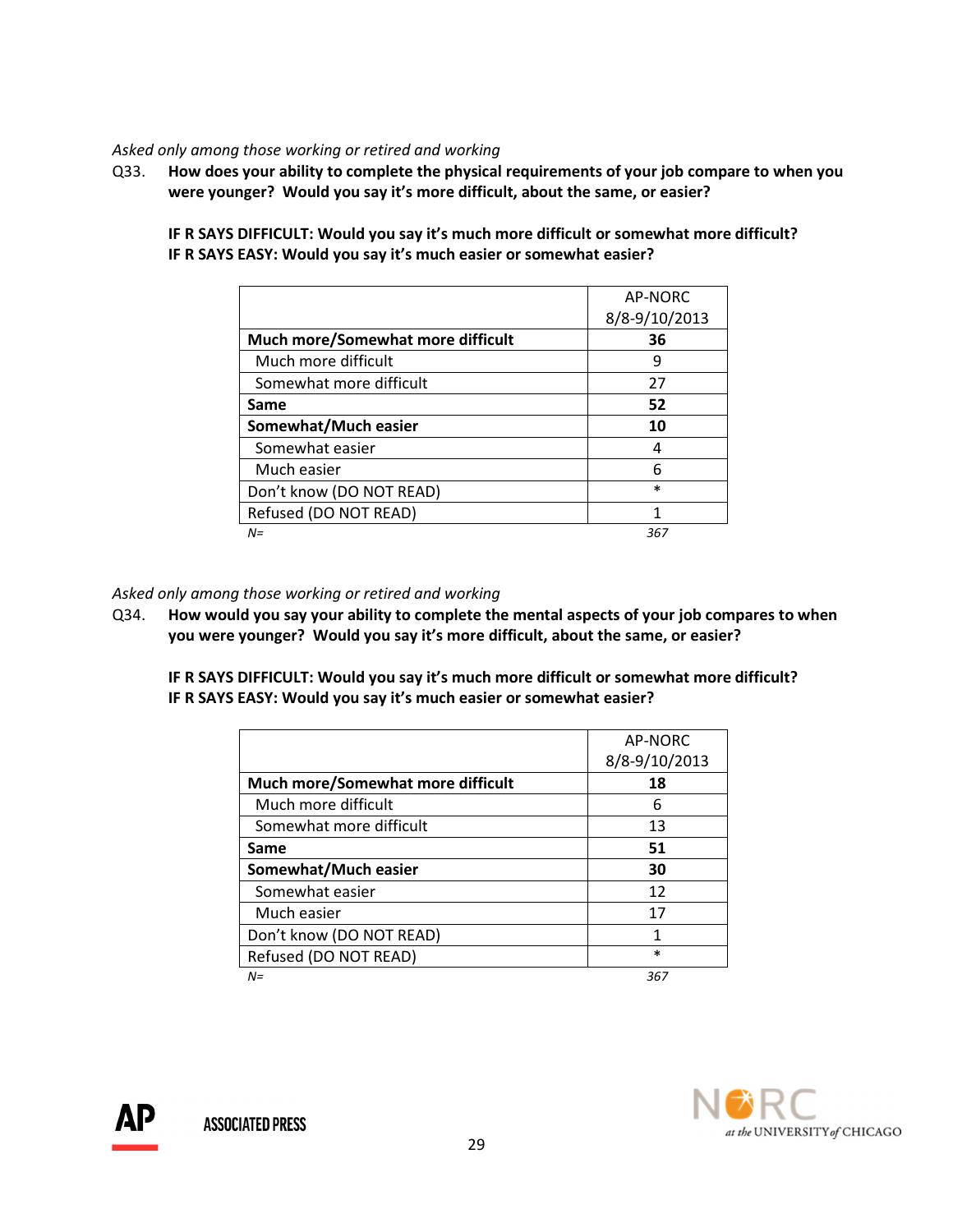## Asked only among those working or retired and working

Q33. How does your ability to complete the physical requirements of your job compare to when you were younger? Would you say it's more difficult, about the same, or easier?

IF R SAYS DIFFICULT: Would you say it's much more difficult or somewhat more difficult? IF R SAYS EASY: Would you say it's much easier or somewhat easier?

|                                   | AP-NORC       |
|-----------------------------------|---------------|
|                                   | 8/8-9/10/2013 |
| Much more/Somewhat more difficult | 36            |
| Much more difficult               | 9             |
| Somewhat more difficult           | 27            |
| Same                              | 52            |
| Somewhat/Much easier              | 10            |
| Somewhat easier                   | 4             |
| Much easier                       | 6             |
| Don't know (DO NOT READ)          | $\ast$        |
| Refused (DO NOT READ)             |               |
| $N =$                             | 367           |

Asked only among those working or retired and working

Q34. How would you say your ability to complete the mental aspects of your job compares to when you were younger? Would you say it's more difficult, about the same, or easier?

IF R SAYS DIFFICULT: Would you say it's much more difficult or somewhat more difficult? IF R SAYS EASY: Would you say it's much easier or somewhat easier?

|                                   | AP-NORC       |
|-----------------------------------|---------------|
|                                   | 8/8-9/10/2013 |
| Much more/Somewhat more difficult | 18            |
| Much more difficult               | 6             |
| Somewhat more difficult           | 13            |
| Same                              | 51            |
| Somewhat/Much easier              | 30            |
| Somewhat easier                   | 12            |
| Much easier                       | 17            |
| Don't know (DO NOT READ)          | 1             |
| Refused (DO NOT READ)             | $\ast$        |
| N=                                | 367           |

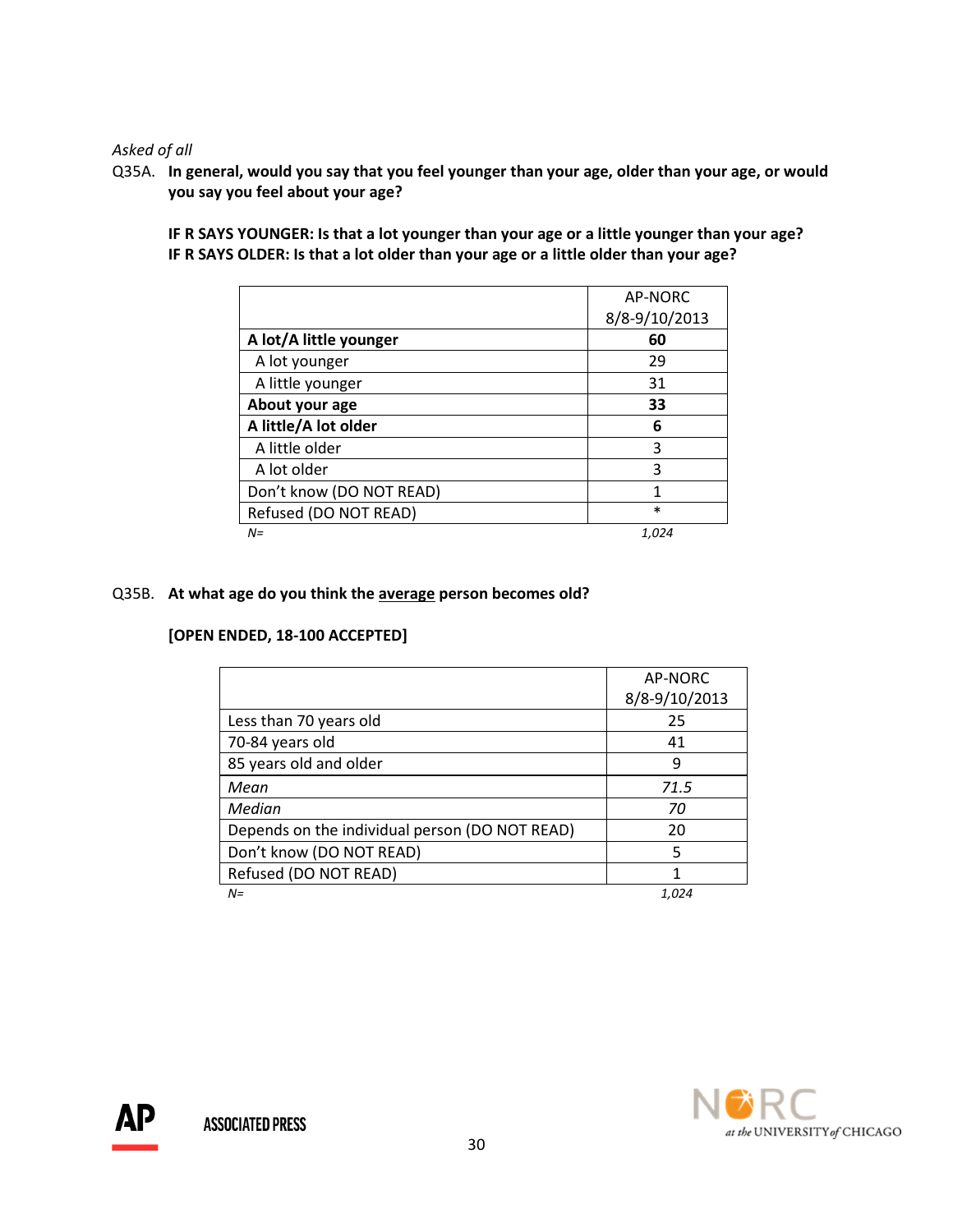Asked of all

Q35A. In general, would you say that you feel younger than your age, older than your age, or would you say you feel about your age?

IF R SAYS YOUNGER: Is that a lot younger than your age or a little younger than your age? IF R SAYS OLDER: Is that a lot older than your age or a little older than your age?

|                          | AP-NORC       |
|--------------------------|---------------|
|                          | 8/8-9/10/2013 |
| A lot/A little younger   | 60            |
| A lot younger            | 29            |
| A little younger         | 31            |
| About your age           | 33            |
| A little/A lot older     | 6             |
| A little older           | 3             |
| A lot older              | 3             |
| Don't know (DO NOT READ) | 1             |
| Refused (DO NOT READ)    | $\ast$        |
| $N =$                    | 1.024         |

# Q35B. At what age do you think the average person becomes old?

# [OPEN ENDED, 18-100 ACCEPTED]

|                                                | AP-NORC       |
|------------------------------------------------|---------------|
|                                                | 8/8-9/10/2013 |
| Less than 70 years old                         | 25            |
| 70-84 years old                                | 41            |
| 85 years old and older                         | 9             |
| Mean                                           | 71.5          |
| Median                                         | 70            |
| Depends on the individual person (DO NOT READ) | 20            |
| Don't know (DO NOT READ)                       | 5             |
| Refused (DO NOT READ)                          | 1             |
| $N =$                                          | 1.024         |



АP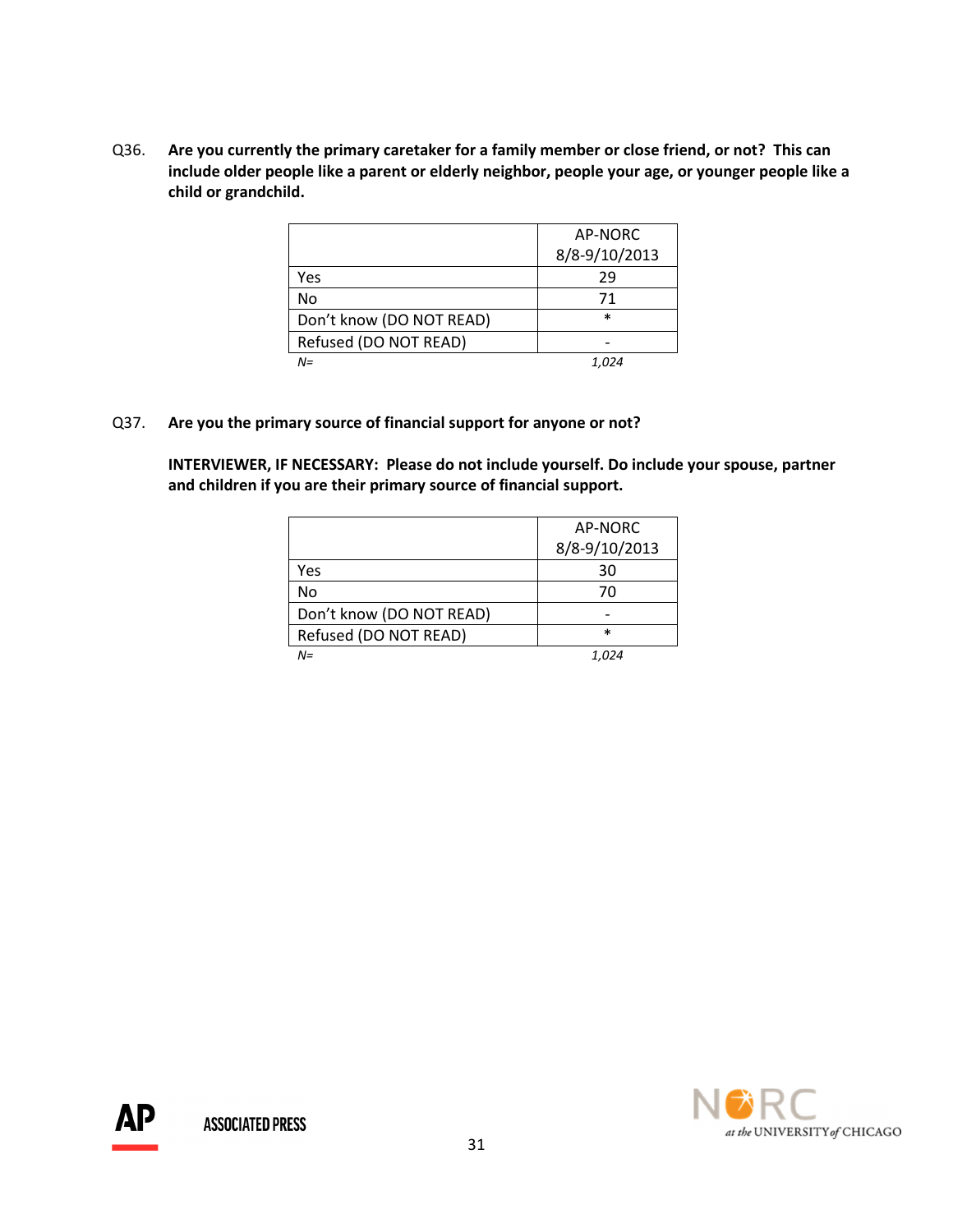Q36. Are you currently the primary caretaker for a family member or close friend, or not? This can include older people like a parent or elderly neighbor, people your age, or younger people like a child or grandchild.

|                          | AP-NORC       |
|--------------------------|---------------|
|                          | 8/8-9/10/2013 |
| Yes                      | 29            |
| No                       | 71            |
| Don't know (DO NOT READ) | $\ast$        |
| Refused (DO NOT READ)    |               |
| $N =$                    | 1.024         |

#### Q37. Are you the primary source of financial support for anyone or not?

 INTERVIEWER, IF NECESSARY: Please do not include yourself. Do include your spouse, partner and children if you are their primary source of financial support.

|                          | AP-NORC       |
|--------------------------|---------------|
|                          | 8/8-9/10/2013 |
| Yes                      | 30            |
| No                       | 70            |
| Don't know (DO NOT READ) |               |
| Refused (DO NOT READ)    | $\ast$        |
| $N =$                    |               |

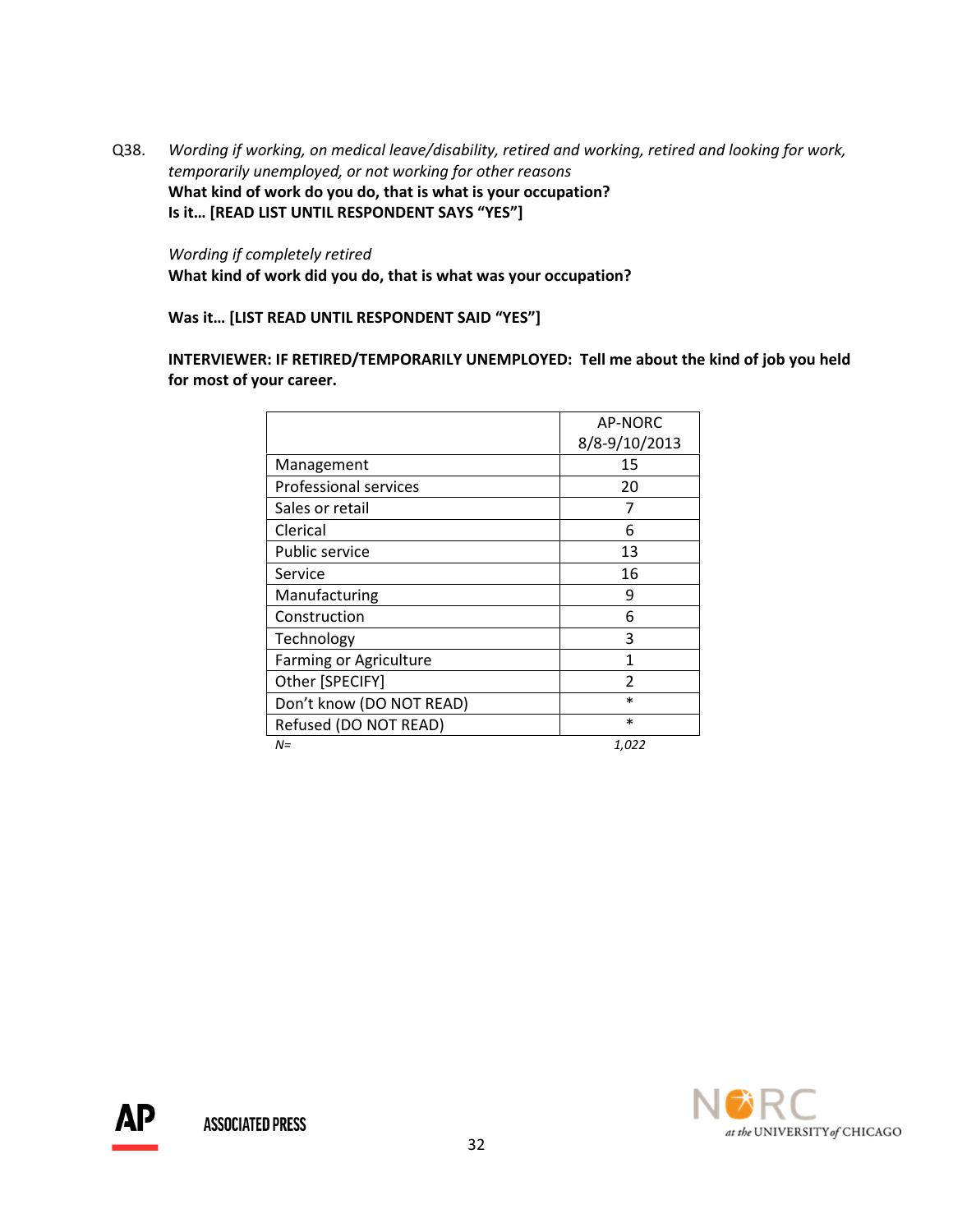Q38. Wording if working, on medical leave/disability, retired and working, retired and looking for work, temporarily unemployed, or not working for other reasons What kind of work do you do, that is what is your occupation? Is it… [READ LIST UNTIL RESPONDENT SAYS "YES"]

 Wording if completely retired What kind of work did you do, that is what was your occupation?

Was it… [LIST READ UNTIL RESPONDENT SAID "YES"]

INTERVIEWER: IF RETIRED/TEMPORARILY UNEMPLOYED: Tell me about the kind of job you held for most of your career.

|                               | AP-NORC       |
|-------------------------------|---------------|
|                               | 8/8-9/10/2013 |
| Management                    | 15            |
| <b>Professional services</b>  | 20            |
| Sales or retail               | 7             |
| Clerical                      | 6             |
| <b>Public service</b>         | 13            |
| Service                       | 16            |
| Manufacturing                 | 9             |
| Construction                  | 6             |
| Technology                    | 3             |
| <b>Farming or Agriculture</b> | 1             |
| Other [SPECIFY]               | $\mathfrak z$ |
| Don't know (DO NOT READ)      | $\ast$        |
| Refused (DO NOT READ)         | $\ast$        |
| $N =$                         | 1,022         |



ДP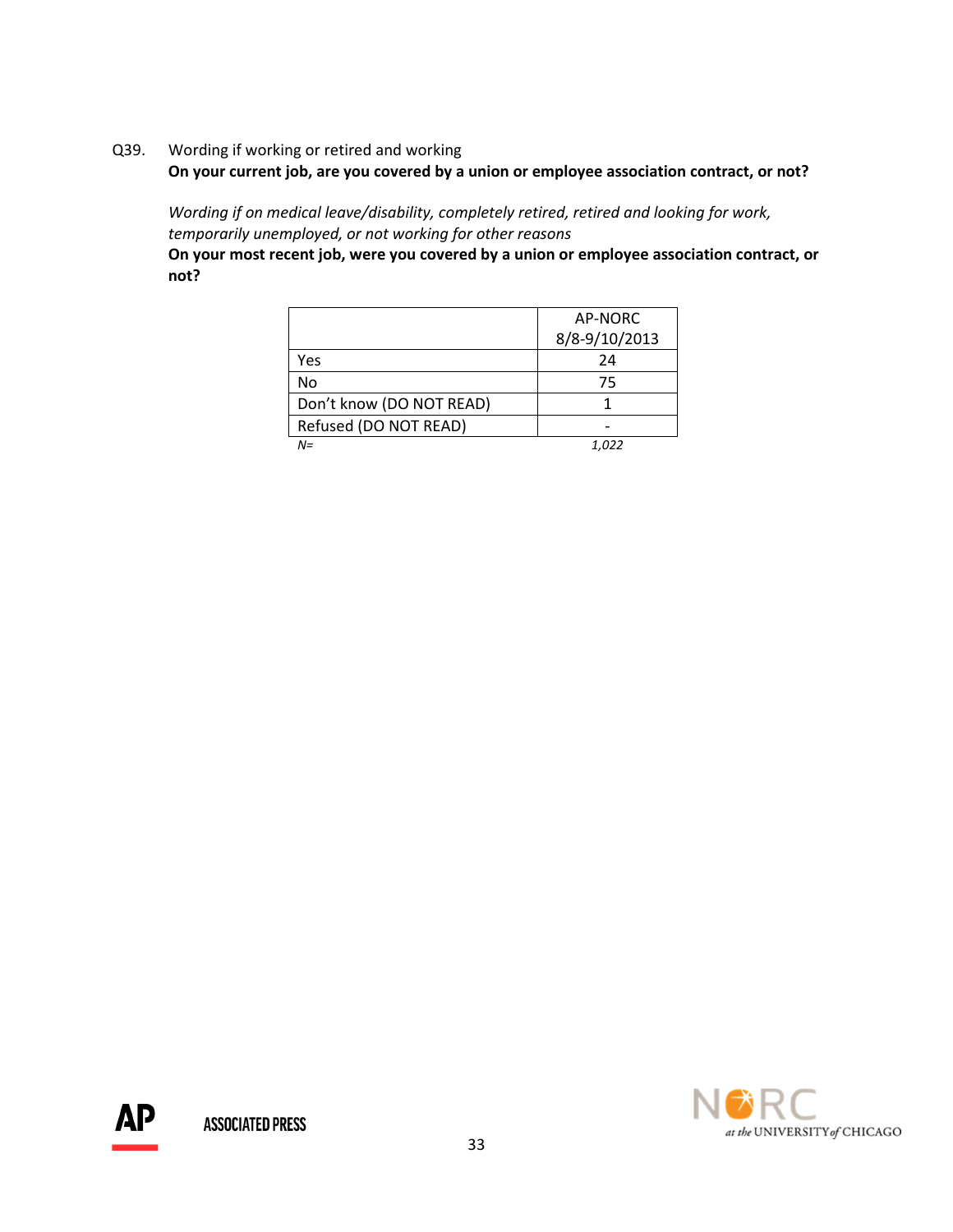Q39. Wording if working or retired and working

On your current job, are you covered by a union or employee association contract, or not?

 Wording if on medical leave/disability, completely retired, retired and looking for work, temporarily unemployed, or not working for other reasons

 On your most recent job, were you covered by a union or employee association contract, or not?

|                          | AP-NORC       |
|--------------------------|---------------|
|                          | 8/8-9/10/2013 |
| Yes                      | 24            |
| No                       | 75            |
| Don't know (DO NOT READ) |               |
| Refused (DO NOT READ)    |               |
| N=                       | 1.022         |

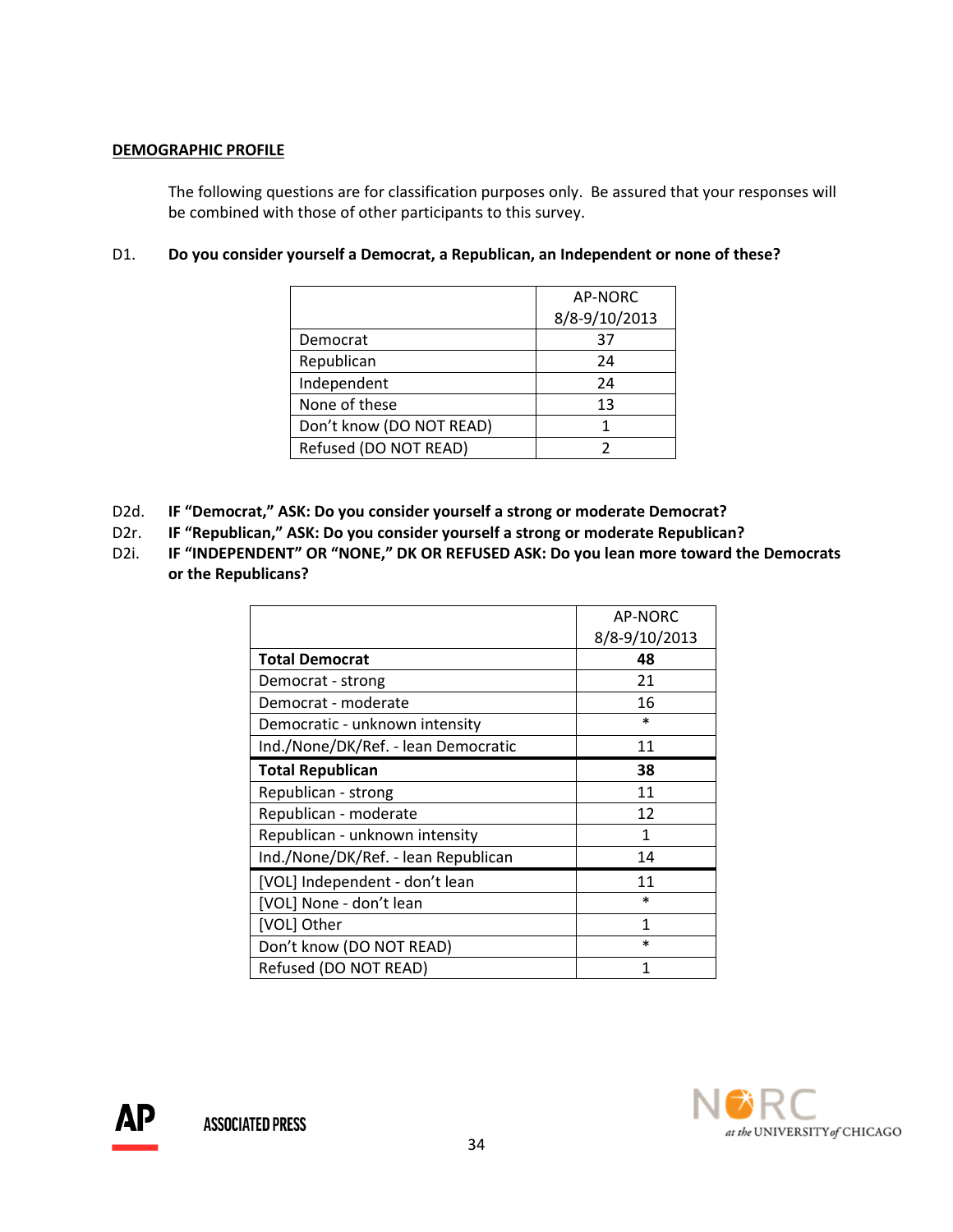## DEMOGRAPHIC PROFILE

The following questions are for classification purposes only. Be assured that your responses will be combined with those of other participants to this survey.

# D1. Do you consider yourself a Democrat, a Republican, an Independent or none of these?

|                          | AP-NORC       |
|--------------------------|---------------|
|                          | 8/8-9/10/2013 |
| Democrat                 | 37            |
| Republican               | 24            |
| Independent              | 24            |
| None of these            | 13            |
| Don't know (DO NOT READ) |               |
| Refused (DO NOT READ)    |               |

- D2d. IF "Democrat," ASK: Do you consider yourself a strong or moderate Democrat?
- D2r. IF "Republican," ASK: Do you consider yourself a strong or moderate Republican?
- D2i. IF "INDEPENDENT" OR "NONE," DK OR REFUSED ASK: Do you lean more toward the Democrats or the Republicans?

|                                     | AP-NORC       |
|-------------------------------------|---------------|
|                                     | 8/8-9/10/2013 |
| <b>Total Democrat</b>               | 48            |
| Democrat - strong                   | 21            |
| Democrat - moderate                 | 16            |
| Democratic - unknown intensity      | $\ast$        |
| Ind./None/DK/Ref. - lean Democratic | 11            |
| <b>Total Republican</b>             | 38            |
| Republican - strong                 | 11            |
| Republican - moderate               | 12            |
| Republican - unknown intensity      | 1             |
| Ind./None/DK/Ref. - lean Republican | 14            |
| [VOL] Independent - don't lean      | 11            |
| [VOL] None - don't lean             | $\ast$        |
| [VOL] Other                         | 1             |
| Don't know (DO NOT READ)            | $\ast$        |
| Refused (DO NOT READ)               | 1             |

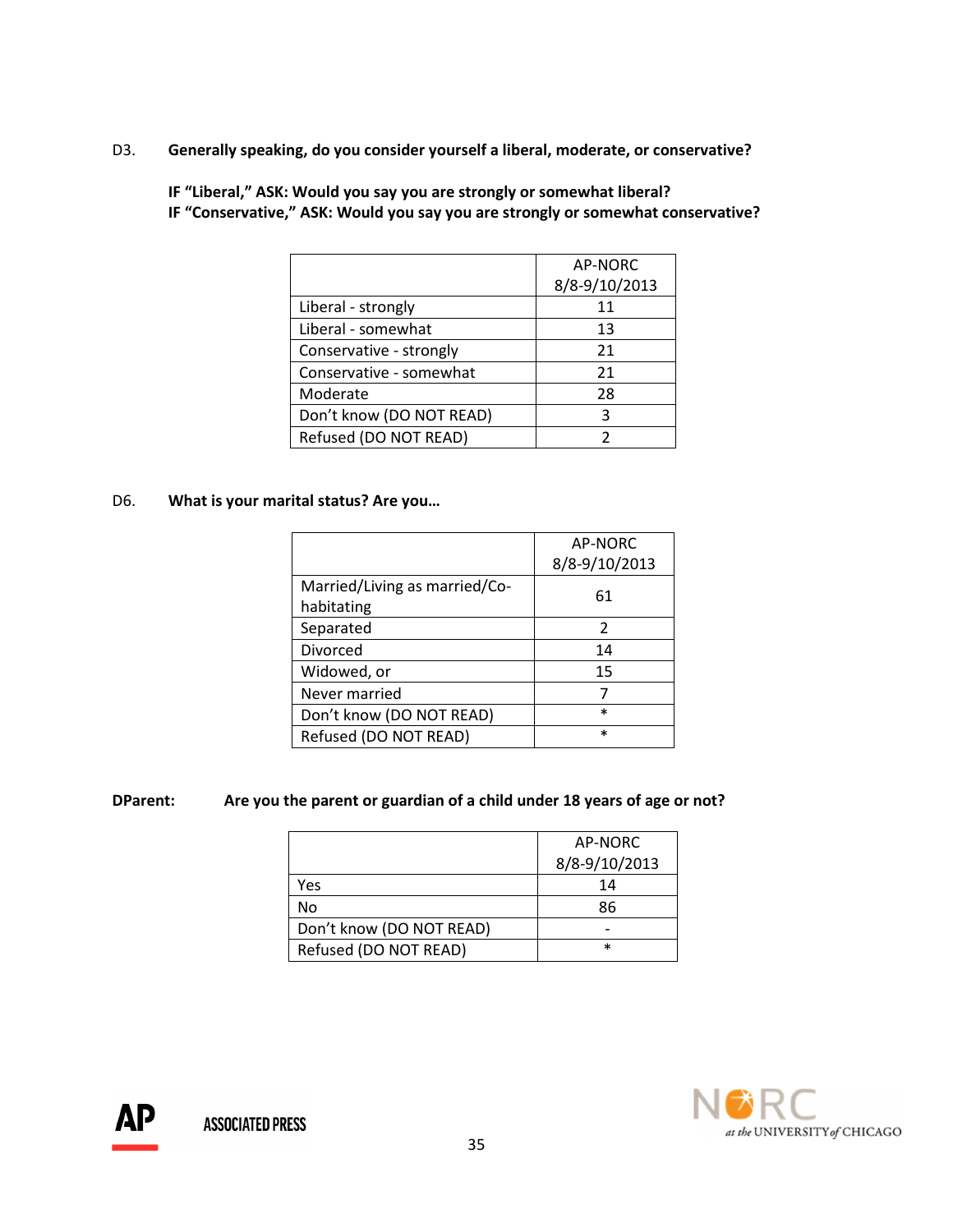D3. Generally speaking, do you consider yourself a liberal, moderate, or conservative?

|                          | AP-NORC       |
|--------------------------|---------------|
|                          | 8/8-9/10/2013 |
| Liberal - strongly       | 11            |
| Liberal - somewhat       | 13            |
| Conservative - strongly  | 21            |
| Conservative - somewhat  | 21            |
| Moderate                 | 28            |
| Don't know (DO NOT READ) | ঽ             |
| Refused (DO NOT READ)    |               |

 IF "Liberal," ASK: Would you say you are strongly or somewhat liberal? IF "Conservative," ASK: Would you say you are strongly or somewhat conservative?

## D6. What is your marital status? Are you…

|                               | AP-NORC       |
|-------------------------------|---------------|
|                               | 8/8-9/10/2013 |
| Married/Living as married/Co- | 61            |
| habitating                    |               |
| Separated                     | 2             |
| Divorced                      | 14            |
| Widowed, or                   | 15            |
| Never married                 |               |
| Don't know (DO NOT READ)      | $\ast$        |
| Refused (DO NOT READ)         | $\ast$        |

# DParent: Are you the parent or guardian of a child under 18 years of age or not?

|                          | AP-NORC       |
|--------------------------|---------------|
|                          | 8/8-9/10/2013 |
| Yes                      | 14            |
| No                       | 86            |
| Don't know (DO NOT READ) |               |
| Refused (DO NOT READ)    | $\ast$        |



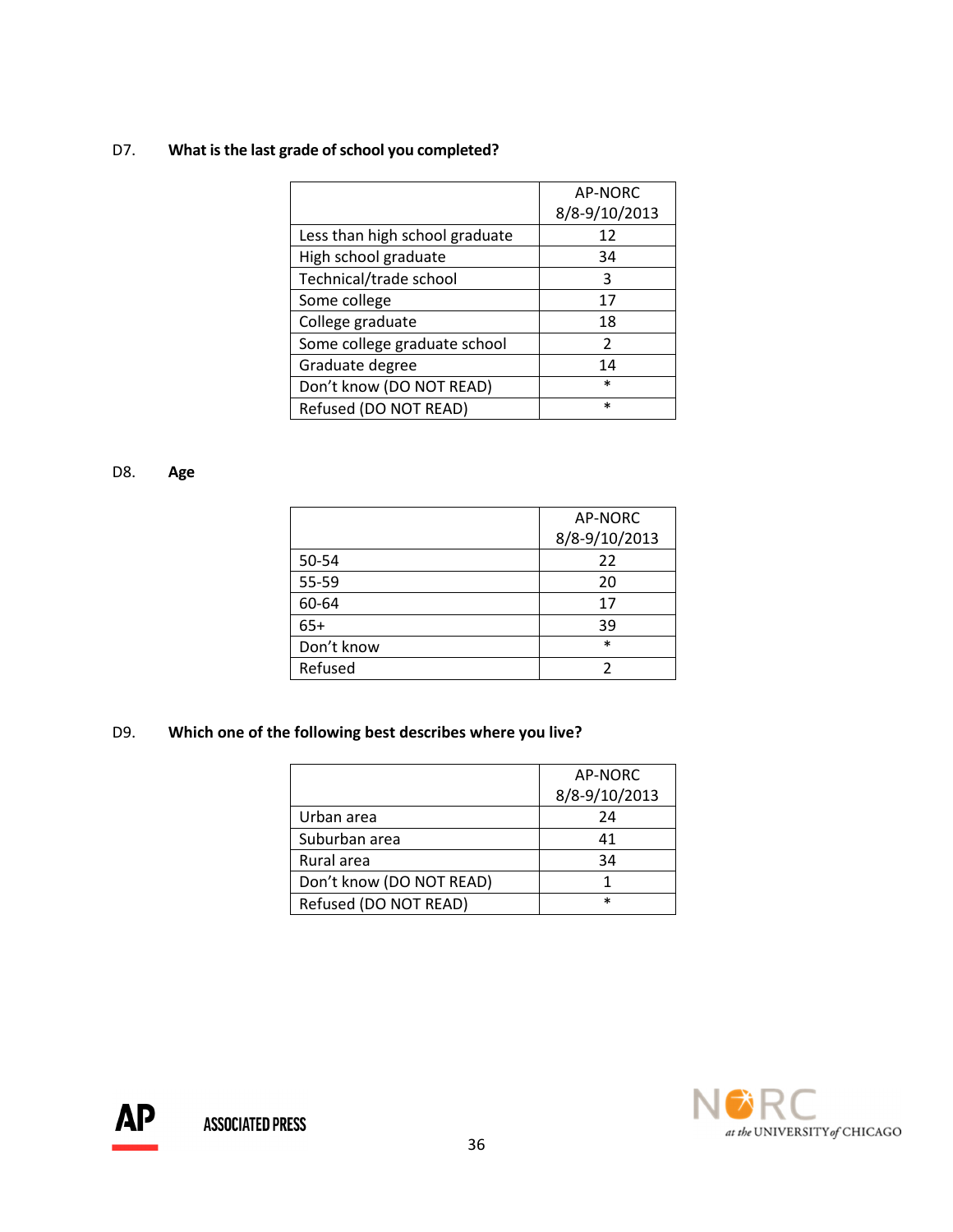# D7. What is the last grade of school you completed?

|                                | <b>AP-NORC</b> |
|--------------------------------|----------------|
|                                | 8/8-9/10/2013  |
| Less than high school graduate | 12             |
| High school graduate           | 34             |
| Technical/trade school         | २              |
| Some college                   | 17             |
| College graduate               | 18             |
| Some college graduate school   | $\mathcal{P}$  |
| Graduate degree                | 14             |
| Don't know (DO NOT READ)       | $\ast$         |
| Refused (DO NOT READ)          | $\ast$         |

# D8. Age

|            | AP-NORC       |
|------------|---------------|
|            | 8/8-9/10/2013 |
| 50-54      | 22            |
| 55-59      | 20            |
| 60-64      | 17            |
| $65+$      | 39            |
| Don't know | $\ast$        |
| Refused    |               |

# D9. Which one of the following best describes where you live?

|                          | AP-NORC<br>8/8-9/10/2013 |
|--------------------------|--------------------------|
|                          |                          |
| Urban area               | 24                       |
| Suburban area            | 41                       |
| Rural area               | 34                       |
| Don't know (DO NOT READ) |                          |
| Refused (DO NOT READ)    | $\ast$                   |



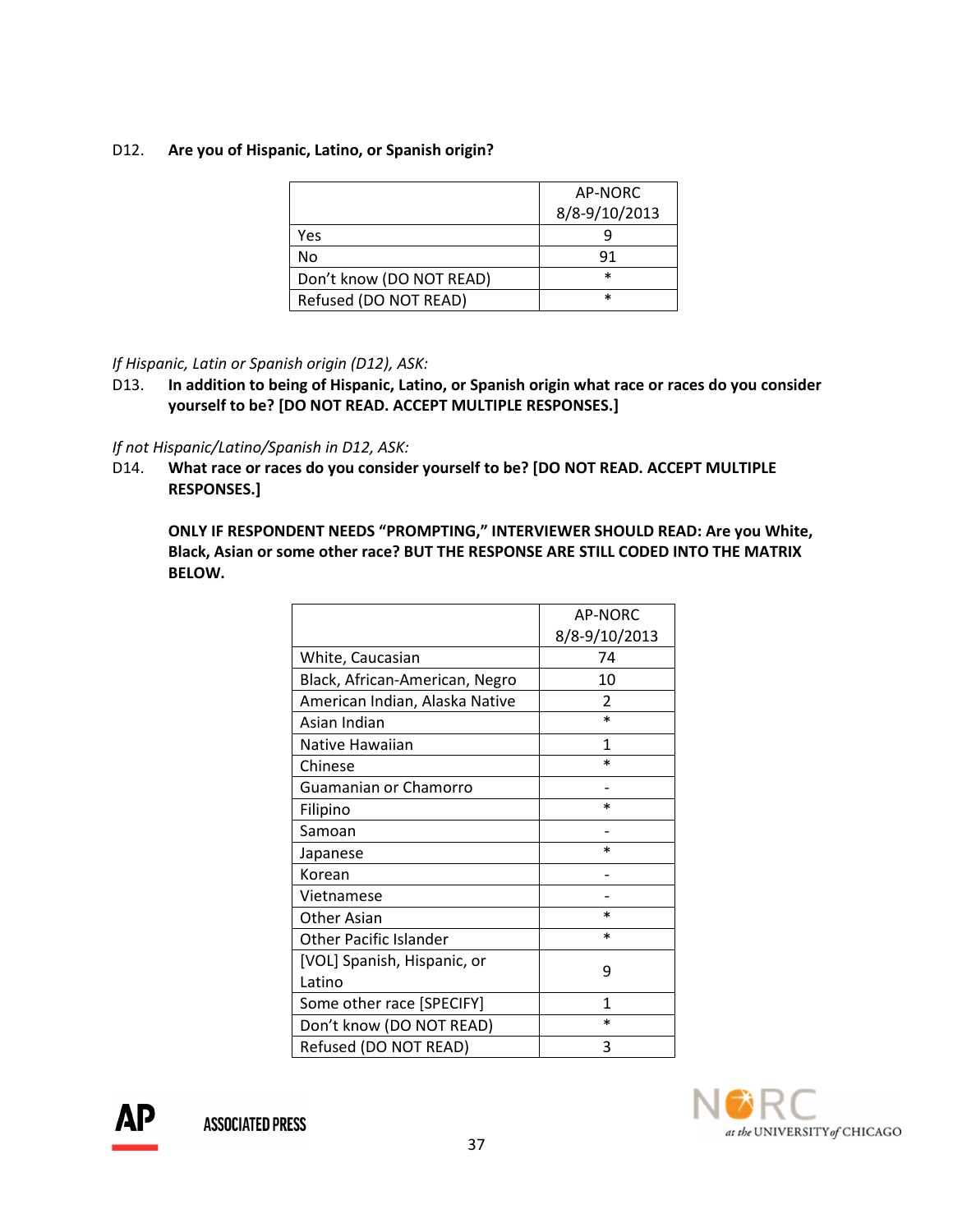## D12. Are you of Hispanic, Latino, or Spanish origin?

|                          | AP-NORC       |
|--------------------------|---------------|
|                          | 8/8-9/10/2013 |
| Yes                      |               |
| No                       | 91            |
| Don't know (DO NOT READ) | $\ast$        |
| Refused (DO NOT READ)    | $\ast$        |

## If Hispanic, Latin or Spanish origin (D12), ASK:

D13. In addition to being of Hispanic, Latino, or Spanish origin what race or races do you consider yourself to be? [DO NOT READ. ACCEPT MULTIPLE RESPONSES.]

## If not Hispanic/Latino/Spanish in D12, ASK:

D14. What race or races do you consider yourself to be? [DO NOT READ. ACCEPT MULTIPLE RESPONSES.]

ONLY IF RESPONDENT NEEDS "PROMPTING," INTERVIEWER SHOULD READ: Are you White, Black, Asian or some other race? BUT THE RESPONSE ARE STILL CODED INTO THE MATRIX BELOW.

|                                | AP-NORC       |
|--------------------------------|---------------|
|                                | 8/8-9/10/2013 |
| White, Caucasian               | 74            |
| Black, African-American, Negro | 10            |
| American Indian, Alaska Native | $\mathcal{P}$ |
| Asian Indian                   | $\ast$        |
| Native Hawaiian                | 1             |
| Chinese                        | $\ast$        |
| Guamanian or Chamorro          |               |
| Filipino                       | $\ast$        |
| Samoan                         |               |
| Japanese                       | $\ast$        |
| Korean                         |               |
| Vietnamese                     |               |
| Other Asian                    | $\ast$        |
| <b>Other Pacific Islander</b>  | $\ast$        |
| [VOL] Spanish, Hispanic, or    | ٩             |
| Latino                         |               |
| Some other race [SPECIFY]      | 1             |
| Don't know (DO NOT READ)       | $\ast$        |
| Refused (DO NOT READ)          | 3             |



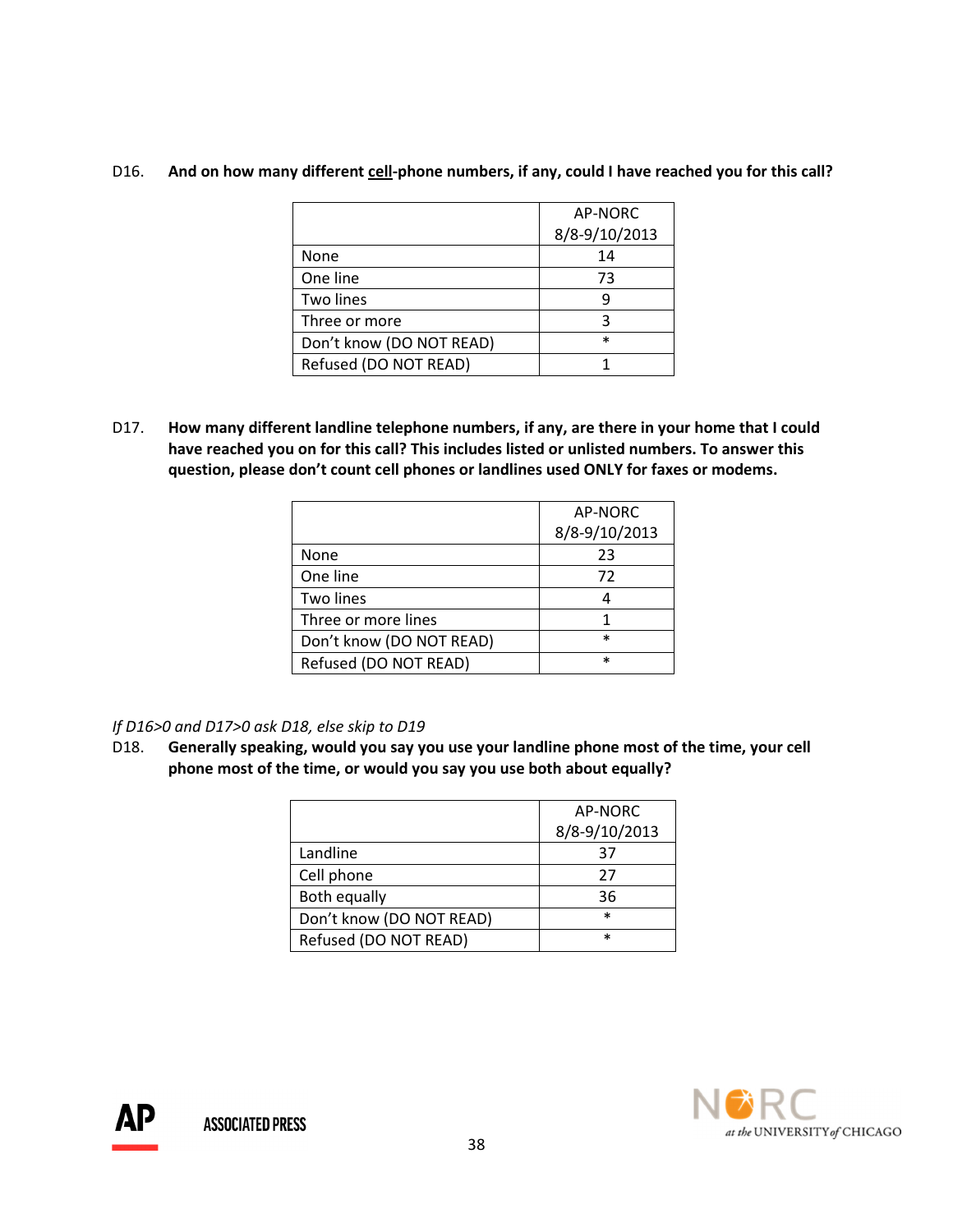# D16. And on how many different cell-phone numbers, if any, could I have reached you for this call?

|                          | AP-NORC       |
|--------------------------|---------------|
|                          | 8/8-9/10/2013 |
| None                     | 14            |
| One line                 | 73            |
| Two lines                | q             |
| Three or more            | ς             |
| Don't know (DO NOT READ) | $\ast$        |
| Refused (DO NOT READ)    |               |

D17. How many different landline telephone numbers, if any, are there in your home that I could have reached you on for this call? This includes listed or unlisted numbers. To answer this question, please don't count cell phones or landlines used ONLY for faxes or modems.

| AP-NORC       |
|---------------|
| 8/8-9/10/2013 |
| 23            |
| 72            |
|               |
|               |
| $\ast$        |
| $\ast$        |
|               |

# If D16>0 and D17>0 ask D18, else skip to D19

D18. Generally speaking, would you say you use your landline phone most of the time, your cell phone most of the time, or would you say you use both about equally?

|                          | AP-NORC       |
|--------------------------|---------------|
|                          | 8/8-9/10/2013 |
| Landline                 | 37            |
| Cell phone               | 27            |
| Both equally             | 36            |
| Don't know (DO NOT READ) | $\ast$        |
| Refused (DO NOT READ)    | $\ast$        |



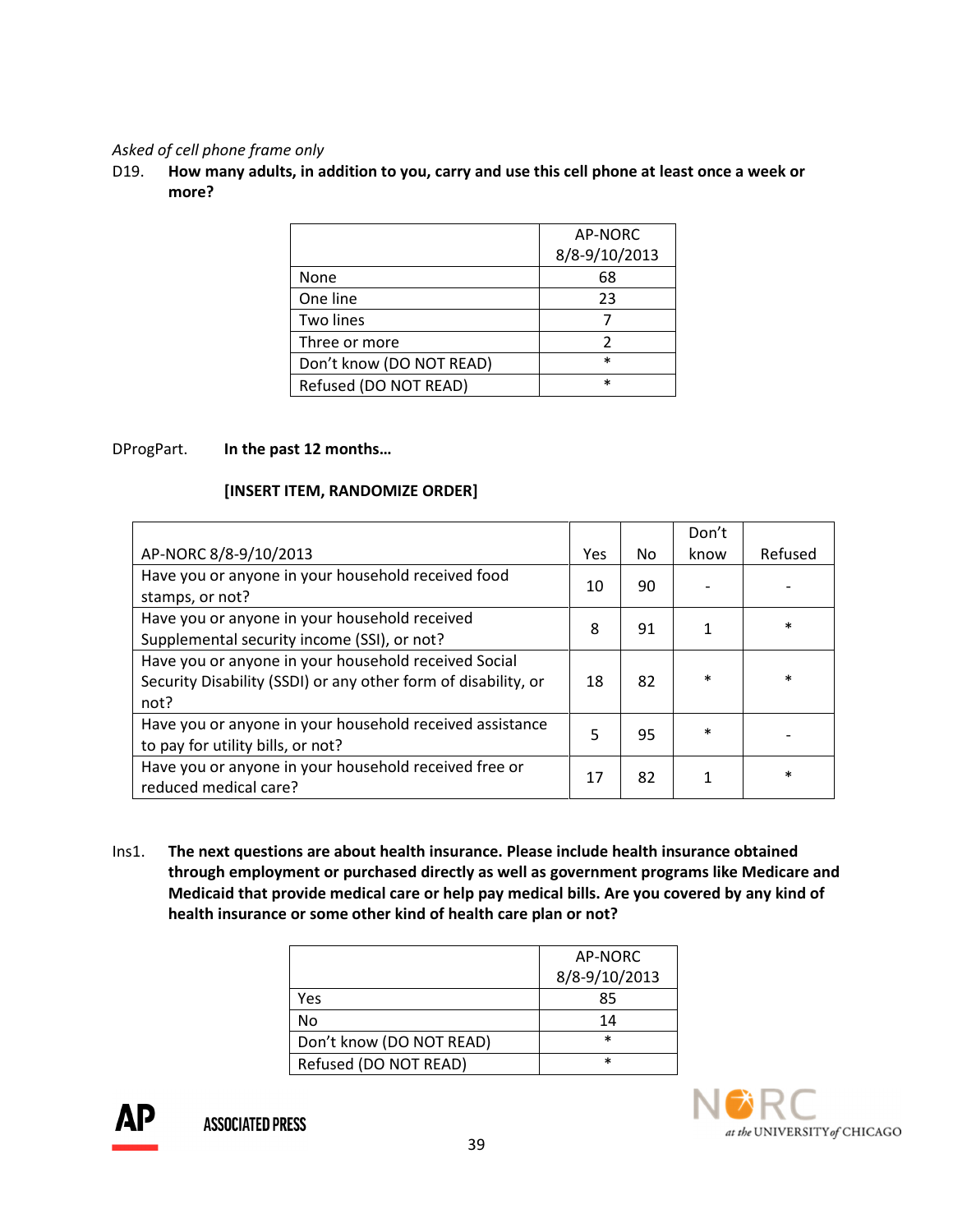## Asked of cell phone frame only

D19. How many adults, in addition to you, carry and use this cell phone at least once a week or more?

|                          | AP-NORC       |
|--------------------------|---------------|
|                          | 8/8-9/10/2013 |
| None                     | 68            |
| One line                 | 23            |
| Two lines                |               |
| Three or more            | 2             |
| Don't know (DO NOT READ) | $\ast$        |
| Refused (DO NOT READ)    | $\ast$        |

# DProgPart. In the past 12 months…

## [INSERT ITEM, RANDOMIZE ORDER]

|                                                                                                                                |     |    | Don't  |         |
|--------------------------------------------------------------------------------------------------------------------------------|-----|----|--------|---------|
| AP-NORC 8/8-9/10/2013                                                                                                          | Yes | Nο | know   | Refused |
| Have you or anyone in your household received food<br>stamps, or not?                                                          | 10  | 90 |        |         |
| Have you or anyone in your household received<br>Supplemental security income (SSI), or not?                                   | 8   | 91 |        | $\ast$  |
| Have you or anyone in your household received Social<br>Security Disability (SSDI) or any other form of disability, or<br>not? | 18  | 82 | $\ast$ | $\ast$  |
| Have you or anyone in your household received assistance<br>to pay for utility bills, or not?                                  | 5   | 95 | $\ast$ |         |
| Have you or anyone in your household received free or<br>reduced medical care?                                                 | 17  | 82 |        | $\ast$  |

Ins1. The next questions are about health insurance. Please include health insurance obtained through employment or purchased directly as well as government programs like Medicare and Medicaid that provide medical care or help pay medical bills. Are you covered by any kind of health insurance or some other kind of health care plan or not?

|                          | AP-NORC       |
|--------------------------|---------------|
|                          | 8/8-9/10/2013 |
| Yes                      | 85            |
| No                       | 14            |
| Don't know (DO NOT READ) | $\ast$        |
| Refused (DO NOT READ)    | $\ast$        |



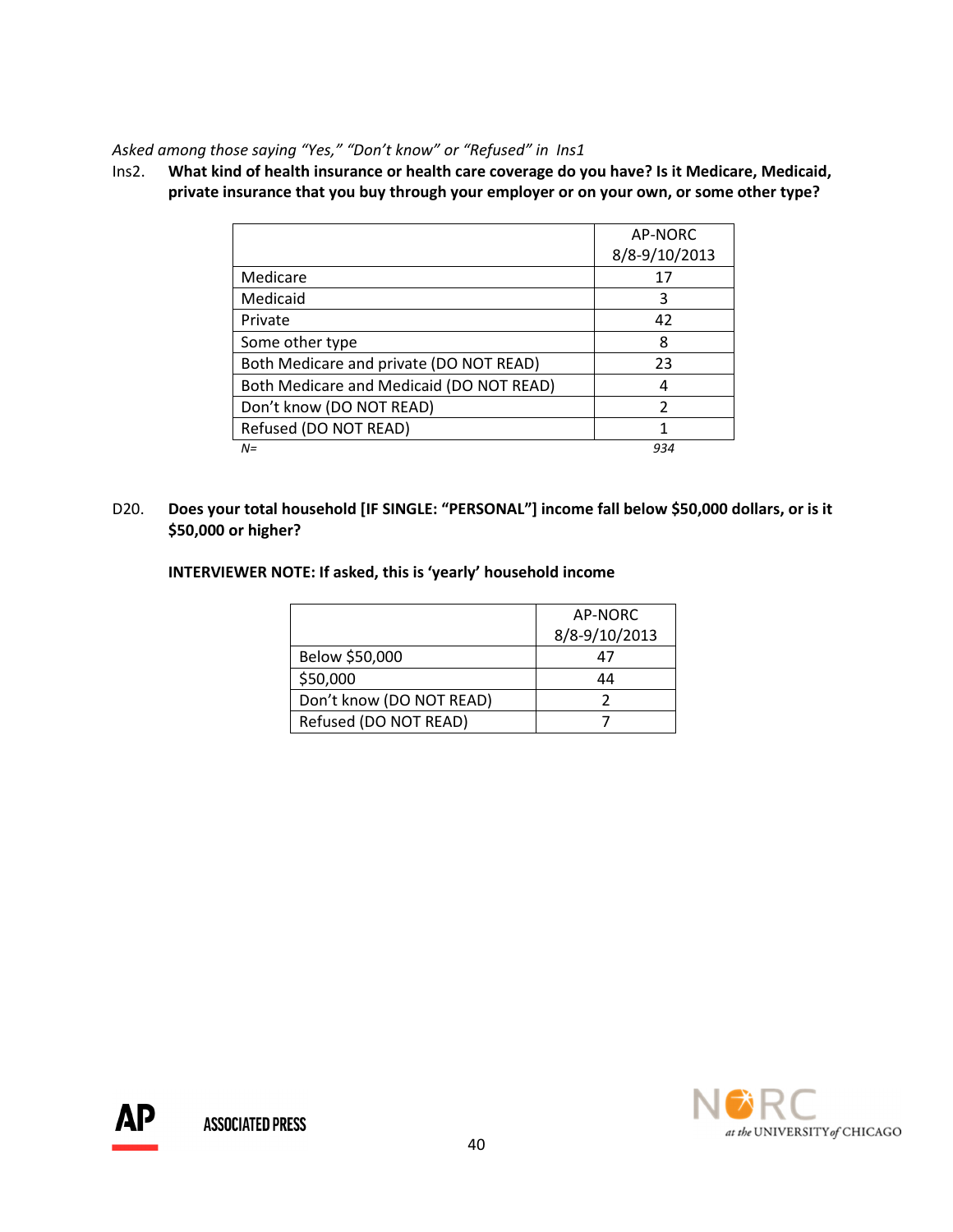Asked among those saying "Yes," "Don't know" or "Refused" in Ins1

Ins2. What kind of health insurance or health care coverage do you have? Is it Medicare, Medicaid, private insurance that you buy through your employer or on your own, or some other type?

|                                          | AP-NORC       |
|------------------------------------------|---------------|
|                                          | 8/8-9/10/2013 |
| Medicare                                 | 17            |
| Medicaid                                 | 3             |
| Private                                  | 42            |
| Some other type                          | 8             |
| Both Medicare and private (DO NOT READ)  | 23            |
| Both Medicare and Medicaid (DO NOT READ) | 4             |
| Don't know (DO NOT READ)                 | 2             |
| Refused (DO NOT READ)                    |               |
| $N =$                                    | 934           |

D20. Does your total household [IF SINGLE: "PERSONAL"] income fall below \$50,000 dollars, or is it \$50,000 or higher?

INTERVIEWER NOTE: If asked, this is 'yearly' household income

|                          | AP-NORC       |
|--------------------------|---------------|
|                          | 8/8-9/10/2013 |
| Below \$50,000           | 47            |
| \$50,000                 | 44            |
| Don't know (DO NOT READ) |               |
| Refused (DO NOT READ)    |               |



АP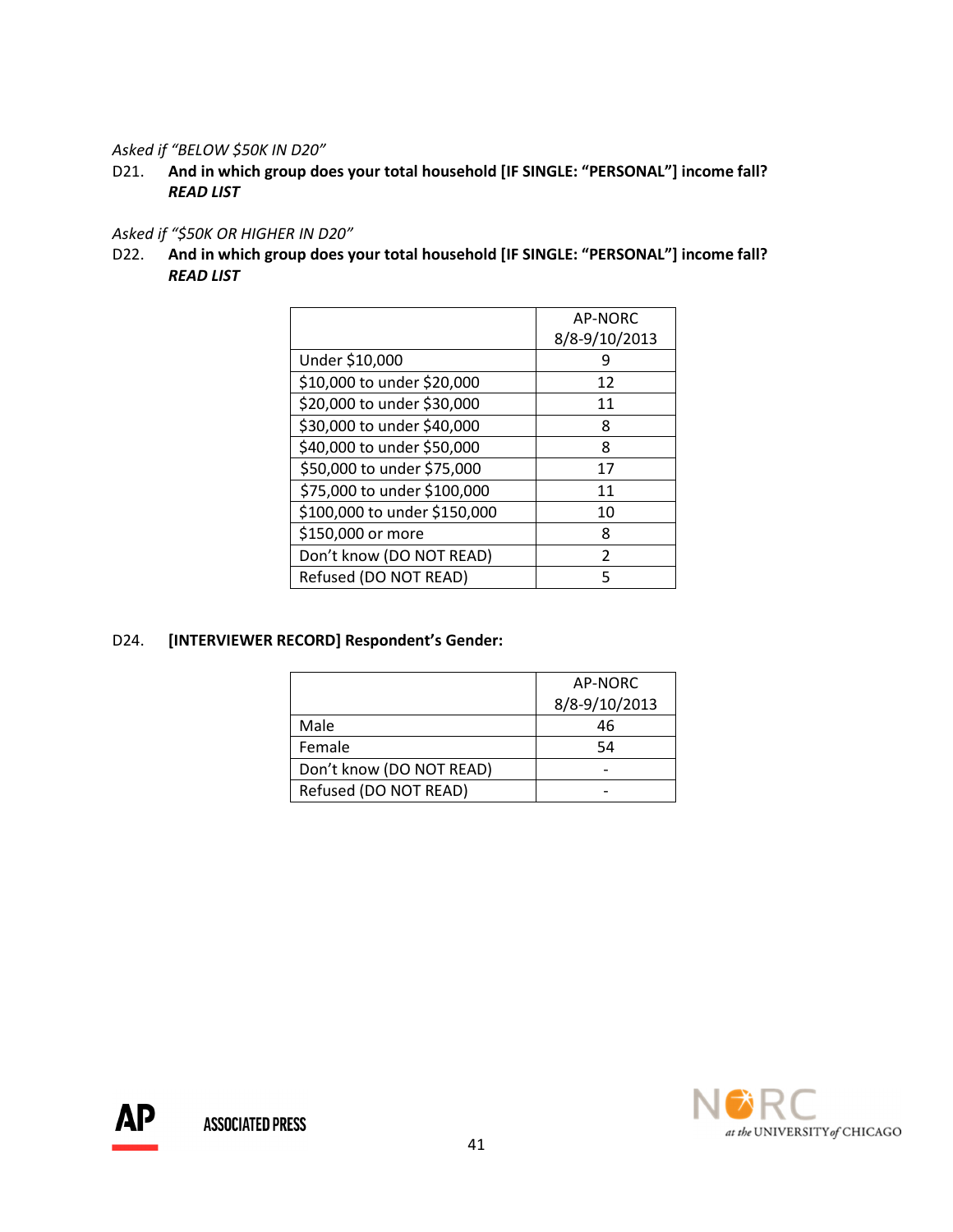Asked if "BELOW \$50K IN D20"

D21. And in which group does your total household [IF SINGLE: "PERSONAL"] income fall? READ LIST

# Asked if "\$50K OR HIGHER IN D20"

D22. And in which group does your total household [IF SINGLE: "PERSONAL"] income fall? READ LIST

|                              | AP-NORC       |
|------------------------------|---------------|
|                              | 8/8-9/10/2013 |
| Under \$10,000               |               |
| \$10,000 to under \$20,000   | 12            |
| \$20,000 to under \$30,000   | 11            |
| \$30,000 to under \$40,000   | 8             |
| \$40,000 to under \$50,000   | 8             |
| \$50,000 to under \$75,000   | 17            |
| \$75,000 to under \$100,000  | 11            |
| \$100,000 to under \$150,000 | 10            |
| \$150,000 or more            | 8             |
| Don't know (DO NOT READ)     | $\mathcal{P}$ |
| Refused (DO NOT READ)        | 5             |

# D24. [INTERVIEWER RECORD] Respondent's Gender:

|                          | AP-NORC       |
|--------------------------|---------------|
|                          | 8/8-9/10/2013 |
| Male                     | 46            |
| Female                   | 54            |
| Don't know (DO NOT READ) |               |
| Refused (DO NOT READ)    |               |